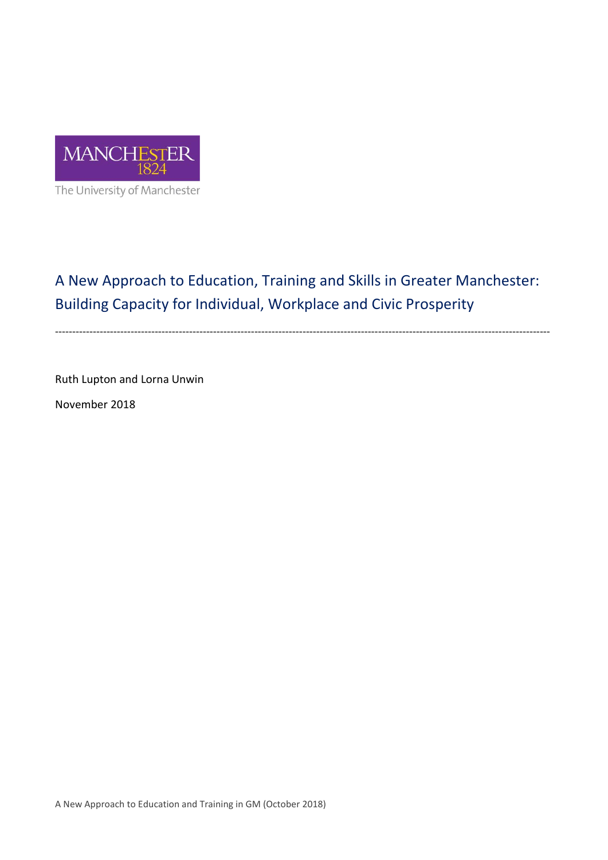

A New Approach to Education, Training and Skills in Greater Manchester: Building Capacity for Individual, Workplace and Civic Prosperity

------------------------------------------------------------------------------------------------------------------------------------------------

Ruth Lupton and Lorna Unwin

November 2018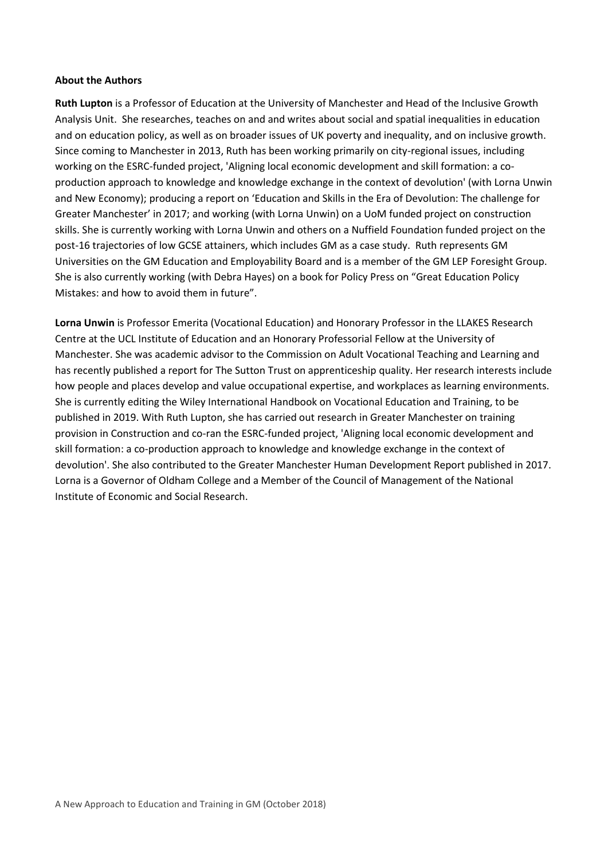#### **About the Authors**

**Ruth Lupton** is a Professor of Education at the University of Manchester and Head of the Inclusive Growth Analysis Unit. She researches, teaches on and and writes about social and spatial inequalities in education and on education policy, as well as on broader issues of UK poverty and inequality, and on inclusive growth. Since coming to Manchester in 2013, Ruth has been working primarily on city-regional issues, including working on the ESRC-funded project, 'Aligning local economic development and skill formation: a coproduction approach to knowledge and knowledge exchange in the context of devolution' (with Lorna Unwin and New Economy); producing a report on 'Education and Skills in the Era of Devolution: The challenge for Greater Manchester' in 2017; and working (with Lorna Unwin) on a UoM funded project on construction skills. She is currently working with Lorna Unwin and others on a Nuffield Foundation funded project on the post-16 trajectories of low GCSE attainers, which includes GM as a case study. Ruth represents GM Universities on the GM Education and Employability Board and is a member of the GM LEP Foresight Group. She is also currently working (with Debra Hayes) on a book for Policy Press on "Great Education Policy Mistakes: and how to avoid them in future".

**Lorna Unwin** is Professor Emerita (Vocational Education) and Honorary Professor in the LLAKES Research Centre at the UCL Institute of Education and an Honorary Professorial Fellow at the University of Manchester. She was academic advisor to the Commission on Adult Vocational Teaching and Learning and has recently published a report for The Sutton Trust on apprenticeship quality. Her research interests include how people and places develop and value occupational expertise, and workplaces as learning environments. She is currently editing the Wiley International Handbook on Vocational Education and Training, to be published in 2019. With Ruth Lupton, she has carried out research in Greater Manchester on training provision in Construction and co-ran the ESRC-funded project, 'Aligning local economic development and skill formation: a co-production approach to knowledge and knowledge exchange in the context of devolution'. She also contributed to the Greater Manchester Human Development Report published in 2017. Lorna is a Governor of Oldham College and a Member of the Council of Management of the National Institute of Economic and Social Research.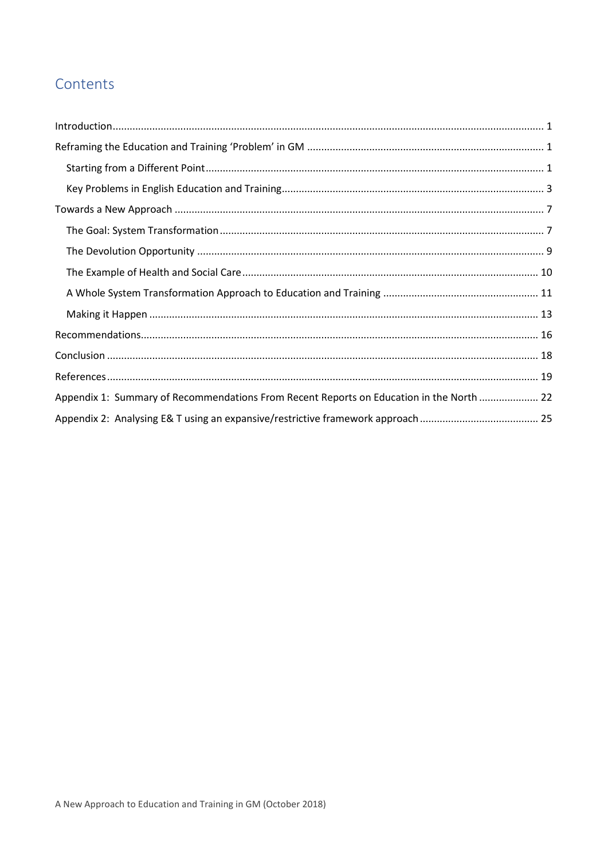# Contents

| Appendix 1: Summary of Recommendations From Recent Reports on Education in the North  22 |  |  |
|------------------------------------------------------------------------------------------|--|--|
|                                                                                          |  |  |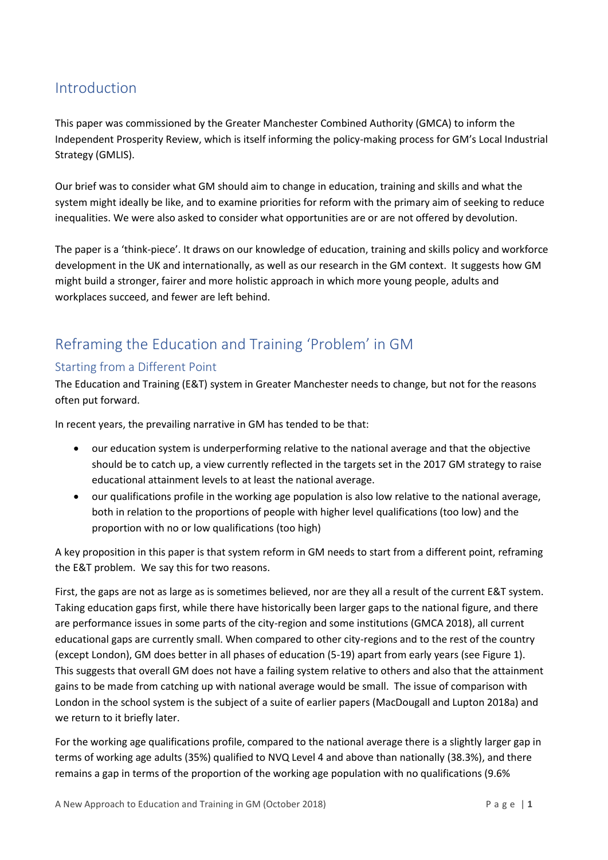# <span id="page-3-0"></span>Introduction

This paper was commissioned by the Greater Manchester Combined Authority (GMCA) to inform the Independent Prosperity Review, which is itself informing the policy-making process for GM's Local Industrial Strategy (GMLIS).

Our brief was to consider what GM should aim to change in education, training and skills and what the system might ideally be like, and to examine priorities for reform with the primary aim of seeking to reduce inequalities. We were also asked to consider what opportunities are or are not offered by devolution.

The paper is a 'think-piece'. It draws on our knowledge of education, training and skills policy and workforce development in the UK and internationally, as well as our research in the GM context. It suggests how GM might build a stronger, fairer and more holistic approach in which more young people, adults and workplaces succeed, and fewer are left behind.

# <span id="page-3-1"></span>Reframing the Education and Training 'Problem' in GM

#### <span id="page-3-2"></span>Starting from a Different Point

The Education and Training (E&T) system in Greater Manchester needs to change, but not for the reasons often put forward.

In recent years, the prevailing narrative in GM has tended to be that:

- our education system is underperforming relative to the national average and that the objective should be to catch up, a view currently reflected in the targets set in the 2017 GM strategy to raise educational attainment levels to at least the national average.
- our qualifications profile in the working age population is also low relative to the national average, both in relation to the proportions of people with higher level qualifications (too low) and the proportion with no or low qualifications (too high)

A key proposition in this paper is that system reform in GM needs to start from a different point, reframing the E&T problem. We say this for two reasons.

First, the gaps are not as large as is sometimes believed, nor are they all a result of the current E&T system. Taking education gaps first, while there have historically been larger gaps to the national figure, and there are performance issues in some parts of the city-region and some institutions (GMCA 2018), all current educational gaps are currently small. When compared to other city-regions and to the rest of the country (except London), GM does better in all phases of education (5-19) apart from early years (see Figure 1). This suggests that overall GM does not have a failing system relative to others and also that the attainment gains to be made from catching up with national average would be small. The issue of comparison with London in the school system is the subject of a suite of earlier papers (MacDougall and Lupton 2018a) and we return to it briefly later.

For the working age qualifications profile, compared to the national average there is a slightly larger gap in terms of working age adults (35%) qualified to NVQ Level 4 and above than nationally (38.3%), and there remains a gap in terms of the proportion of the working age population with no qualifications (9.6%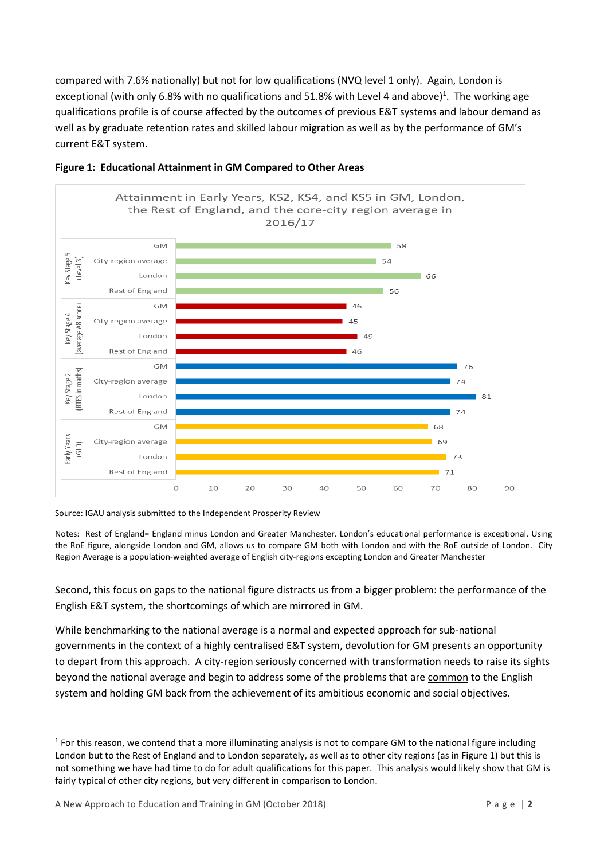compared with 7.6% nationally) but not for low qualifications (NVQ level 1 only). Again, London is exceptional (with only 6.8% with no qualifications and 51.8% with Level 4 and above)<sup>1</sup>. The working age qualifications profile is of course affected by the outcomes of previous E&T systems and labour demand as well as by graduate retention rates and skilled labour migration as well as by the performance of GM's current E&T system.





Source: IGAU analysis submitted to the Independent Prosperity Review

Notes: Rest of England= England minus London and Greater Manchester. London's educational performance is exceptional. Using the RoE figure, alongside London and GM, allows us to compare GM both with London and with the RoE outside of London. City Region Average is a population-weighted average of English city-regions excepting London and Greater Manchester

Second, this focus on gaps to the national figure distracts us from a bigger problem: the performance of the English E&T system, the shortcomings of which are mirrored in GM.

While benchmarking to the national average is a normal and expected approach for sub-national governments in the context of a highly centralised E&T system, devolution for GM presents an opportunity to depart from this approach. A city-region seriously concerned with transformation needs to raise its sights beyond the national average and begin to address some of the problems that are common to the English system and holding GM back from the achievement of its ambitious economic and social objectives.

**.** 

 $1$  For this reason, we contend that a more illuminating analysis is not to compare GM to the national figure including London but to the Rest of England and to London separately, as well as to other city regions (as in Figure 1) but this is not something we have had time to do for adult qualifications for this paper. This analysis would likely show that GM is fairly typical of other city regions, but very different in comparison to London.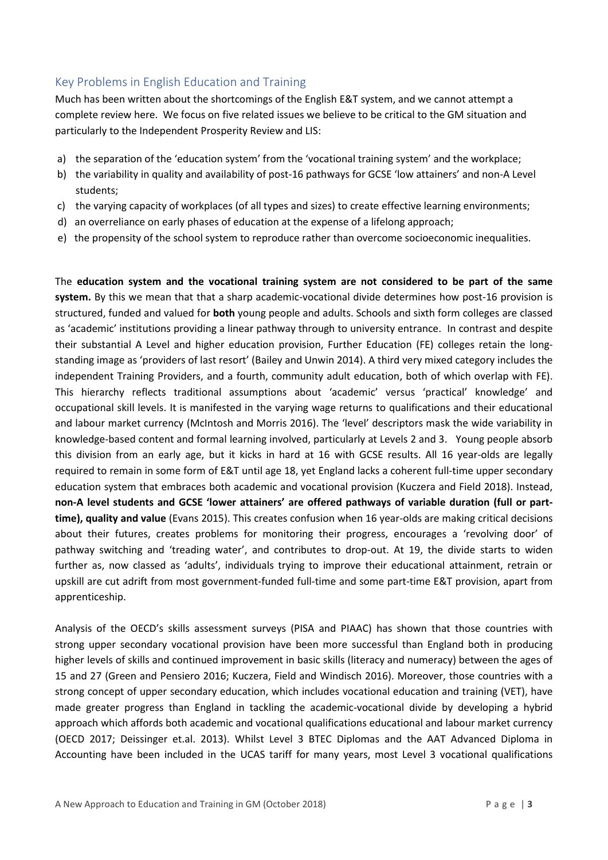#### <span id="page-5-0"></span>Key Problems in English Education and Training

Much has been written about the shortcomings of the English E&T system, and we cannot attempt a complete review here. We focus on five related issues we believe to be critical to the GM situation and particularly to the Independent Prosperity Review and LIS:

- a) the separation of the 'education system' from the 'vocational training system' and the workplace;
- b) the variability in quality and availability of post-16 pathways for GCSE 'low attainers' and non-A Level students;
- c) the varying capacity of workplaces (of all types and sizes) to create effective learning environments;
- d) an overreliance on early phases of education at the expense of a lifelong approach;
- e) the propensity of the school system to reproduce rather than overcome socioeconomic inequalities.

The **education system and the vocational training system are not considered to be part of the same system.** By this we mean that that a sharp academic-vocational divide determines how post-16 provision is structured, funded and valued for **both** young people and adults. Schools and sixth form colleges are classed as 'academic' institutions providing a linear pathway through to university entrance. In contrast and despite their substantial A Level and higher education provision, Further Education (FE) colleges retain the longstanding image as 'providers of last resort' (Bailey and Unwin 2014). A third very mixed category includes the independent Training Providers, and a fourth, community adult education, both of which overlap with FE). This hierarchy reflects traditional assumptions about 'academic' versus 'practical' knowledge' and occupational skill levels. It is manifested in the varying wage returns to qualifications and their educational and labour market currency (McIntosh and Morris 2016). The 'level' descriptors mask the wide variability in knowledge-based content and formal learning involved, particularly at Levels 2 and 3. Young people absorb this division from an early age, but it kicks in hard at 16 with GCSE results. All 16 year-olds are legally required to remain in some form of E&T until age 18, yet England lacks a coherent full-time upper secondary education system that embraces both academic and vocational provision (Kuczera and Field 2018). Instead, **non-A level students and GCSE 'lower attainers' are offered pathways of variable duration (full or parttime), quality and value** (Evans 2015). This creates confusion when 16 year-olds are making critical decisions about their futures, creates problems for monitoring their progress, encourages a 'revolving door' of pathway switching and 'treading water', and contributes to drop-out. At 19, the divide starts to widen further as, now classed as 'adults', individuals trying to improve their educational attainment, retrain or upskill are cut adrift from most government-funded full-time and some part-time E&T provision, apart from apprenticeship.

Analysis of the OECD's skills assessment surveys (PISA and PIAAC) has shown that those countries with strong upper secondary vocational provision have been more successful than England both in producing higher levels of skills and continued improvement in basic skills (literacy and numeracy) between the ages of 15 and 27 (Green and Pensiero 2016; Kuczera, Field and Windisch 2016). Moreover, those countries with a strong concept of upper secondary education, which includes vocational education and training (VET), have made greater progress than England in tackling the academic-vocational divide by developing a hybrid approach which affords both academic and vocational qualifications educational and labour market currency (OECD 2017; Deissinger et.al. 2013). Whilst Level 3 BTEC Diplomas and the AAT Advanced Diploma in Accounting have been included in the UCAS tariff for many years, most Level 3 vocational qualifications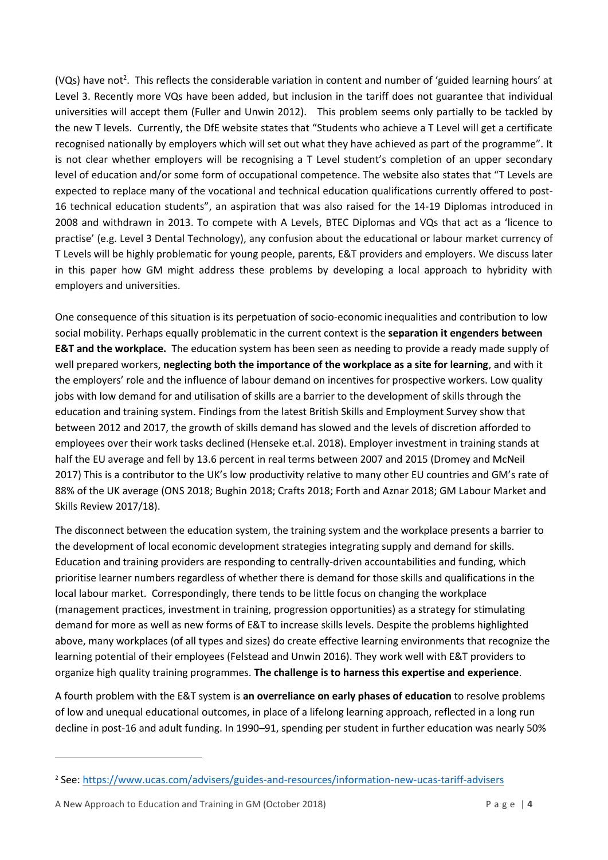(VQs) have not<sup>2</sup>. This reflects the considerable variation in content and number of 'guided learning hours' at Level 3. Recently more VQs have been added, but inclusion in the tariff does not guarantee that individual universities will accept them (Fuller and Unwin 2012). This problem seems only partially to be tackled by the new T levels. Currently, the DfE website states that "Students who achieve a T Level will get a certificate recognised nationally by employers which will set out what they have achieved as part of the programme". It is not clear whether employers will be recognising a T Level student's completion of an upper secondary level of education and/or some form of occupational competence. The website also states that "T Levels are expected to replace many of the vocational and technical education qualifications currently offered to post-16 technical education students", an aspiration that was also raised for the 14-19 Diplomas introduced in 2008 and withdrawn in 2013. To compete with A Levels, BTEC Diplomas and VQs that act as a 'licence to practise' (e.g. Level 3 Dental Technology), any confusion about the educational or labour market currency of T Levels will be highly problematic for young people, parents, E&T providers and employers. We discuss later in this paper how GM might address these problems by developing a local approach to hybridity with employers and universities.

One consequence of this situation is its perpetuation of socio-economic inequalities and contribution to low social mobility. Perhaps equally problematic in the current context is the **separation it engenders between E&T and the workplace.** The education system has been seen as needing to provide a ready made supply of well prepared workers, **neglecting both the importance of the workplace as a site for learning**, and with it the employers' role and the influence of labour demand on incentives for prospective workers. Low quality jobs with low demand for and utilisation of skills are a barrier to the development of skills through the education and training system. Findings from the latest British Skills and Employment Survey show that between 2012 and 2017, the growth of skills demand has slowed and the levels of discretion afforded to employees over their work tasks declined (Henseke et.al. 2018). Employer investment in training stands at half the EU average and fell by 13.6 percent in real terms between 2007 and 2015 (Dromey and McNeil 2017) This is a contributor to the UK's low productivity relative to many other EU countries and GM's rate of 88% of the UK average (ONS 2018; Bughin 2018; Crafts 2018; Forth and Aznar 2018; GM Labour Market and Skills Review 2017/18).

The disconnect between the education system, the training system and the workplace presents a barrier to the development of local economic development strategies integrating supply and demand for skills. Education and training providers are responding to centrally-driven accountabilities and funding, which prioritise learner numbers regardless of whether there is demand for those skills and qualifications in the local labour market. Correspondingly, there tends to be little focus on changing the workplace (management practices, investment in training, progression opportunities) as a strategy for stimulating demand for more as well as new forms of E&T to increase skills levels. Despite the problems highlighted above, many workplaces (of all types and sizes) do create effective learning environments that recognize the learning potential of their employees (Felstead and Unwin 2016). They work well with E&T providers to organize high quality training programmes. **The challenge is to harness this expertise and experience**.

A fourth problem with the E&T system is **an overreliance on early phases of education** to resolve problems of low and unequal educational outcomes, in place of a lifelong learning approach, reflected in a long run decline in post-16 and adult funding. In 1990–91, spending per student in further education was nearly 50%

A New Approach to Education and Training in GM (October 2018) P a g e | **4**

1

<sup>2</sup> See:<https://www.ucas.com/advisers/guides-and-resources/information-new-ucas-tariff-advisers>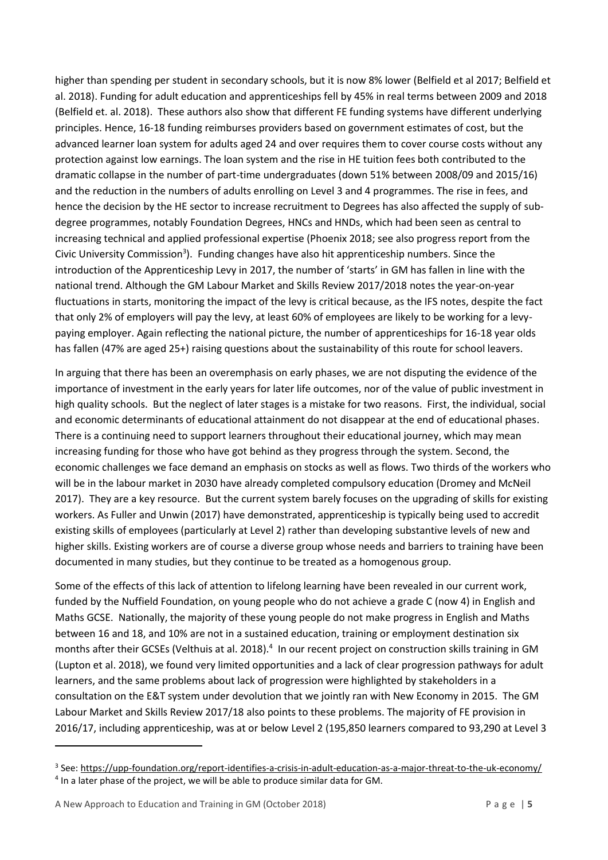higher than spending per student in secondary schools, but it is now 8% lower (Belfield et al 2017; Belfield et al. 2018). Funding for adult education and apprenticeships fell by 45% in real terms between 2009 and 2018 (Belfield et. al. 2018). These authors also show that different FE funding systems have different underlying principles. Hence, 16-18 funding reimburses providers based on government estimates of cost, but the advanced learner loan system for adults aged 24 and over requires them to cover course costs without any protection against low earnings. The loan system and the rise in HE tuition fees both contributed to the dramatic collapse in the number of part-time undergraduates (down 51% between 2008/09 and 2015/16) and the reduction in the numbers of adults enrolling on Level 3 and 4 programmes. The rise in fees, and hence the decision by the HE sector to increase recruitment to Degrees has also affected the supply of subdegree programmes, notably Foundation Degrees, HNCs and HNDs, which had been seen as central to increasing technical and applied professional expertise (Phoenix 2018; see also progress report from the Civic University Commission<sup>3</sup>). Funding changes have also hit apprenticeship numbers. Since the introduction of the Apprenticeship Levy in 2017, the number of 'starts' in GM has fallen in line with the national trend. Although the GM Labour Market and Skills Review 2017/2018 notes the year-on-year fluctuations in starts, monitoring the impact of the levy is critical because, as the IFS notes, despite the fact that only 2% of employers will pay the levy, at least 60% of employees are likely to be working for a levypaying employer. Again reflecting the national picture, the number of apprenticeships for 16-18 year olds has fallen (47% are aged 25+) raising questions about the sustainability of this route for school leavers.

In arguing that there has been an overemphasis on early phases, we are not disputing the evidence of the importance of investment in the early years for later life outcomes, nor of the value of public investment in high quality schools. But the neglect of later stages is a mistake for two reasons. First, the individual, social and economic determinants of educational attainment do not disappear at the end of educational phases. There is a continuing need to support learners throughout their educational journey, which may mean increasing funding for those who have got behind as they progress through the system. Second, the economic challenges we face demand an emphasis on stocks as well as flows. Two thirds of the workers who will be in the labour market in 2030 have already completed compulsory education (Dromey and McNeil 2017). They are a key resource. But the current system barely focuses on the upgrading of skills for existing workers. As Fuller and Unwin (2017) have demonstrated, apprenticeship is typically being used to accredit existing skills of employees (particularly at Level 2) rather than developing substantive levels of new and higher skills. Existing workers are of course a diverse group whose needs and barriers to training have been documented in many studies, but they continue to be treated as a homogenous group.

Some of the effects of this lack of attention to lifelong learning have been revealed in our current work, funded by the Nuffield Foundation, on young people who do not achieve a grade C (now 4) in English and Maths GCSE. Nationally, the majority of these young people do not make progress in English and Maths between 16 and 18, and 10% are not in a sustained education, training or employment destination six months after their GCSEs (Velthuis at al. 2018).<sup>4</sup> In our recent project on construction skills training in GM (Lupton et al. 2018), we found very limited opportunities and a lack of clear progression pathways for adult learners, and the same problems about lack of progression were highlighted by stakeholders in a consultation on the E&T system under devolution that we jointly ran with New Economy in 2015. The GM Labour Market and Skills Review 2017/18 also points to these problems. The majority of FE provision in 2016/17, including apprenticeship, was at or below Level 2 (195,850 learners compared to 93,290 at Level 3

**.** 

<sup>&</sup>lt;sup>3</sup> See:<https://upp-foundation.org/report-identifies-a-crisis-in-adult-education-as-a-major-threat-to-the-uk-economy/> <sup>4</sup> In a later phase of the project, we will be able to produce similar data for GM.

A New Approach to Education and Training in GM (October 2018) P a g e | **5**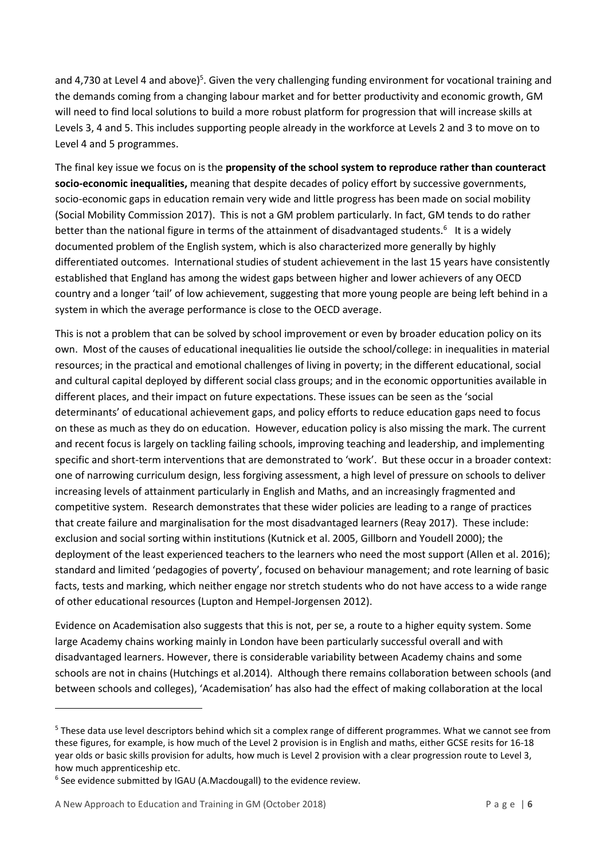and 4,730 at Level 4 and above)<sup>5</sup>. Given the very challenging funding environment for vocational training and the demands coming from a changing labour market and for better productivity and economic growth, GM will need to find local solutions to build a more robust platform for progression that will increase skills at Levels 3, 4 and 5. This includes supporting people already in the workforce at Levels 2 and 3 to move on to Level 4 and 5 programmes.

The final key issue we focus on is the **propensity of the school system to reproduce rather than counteract socio-economic inequalities,** meaning that despite decades of policy effort by successive governments, socio-economic gaps in education remain very wide and little progress has been made on social mobility (Social Mobility Commission 2017). This is not a GM problem particularly. In fact, GM tends to do rather better than the national figure in terms of the attainment of disadvantaged students.<sup>6</sup> It is a widely documented problem of the English system, which is also characterized more generally by highly differentiated outcomes. International studies of student achievement in the last 15 years have consistently established that England has among the widest gaps between higher and lower achievers of any OECD country and a longer 'tail' of low achievement, suggesting that more young people are being left behind in a system in which the average performance is close to the OECD average.

This is not a problem that can be solved by school improvement or even by broader education policy on its own. Most of the causes of educational inequalities lie outside the school/college: in inequalities in material resources; in the practical and emotional challenges of living in poverty; in the different educational, social and cultural capital deployed by different social class groups; and in the economic opportunities available in different places, and their impact on future expectations. These issues can be seen as the 'social determinants' of educational achievement gaps, and policy efforts to reduce education gaps need to focus on these as much as they do on education. However, education policy is also missing the mark. The current and recent focus is largely on tackling failing schools, improving teaching and leadership, and implementing specific and short-term interventions that are demonstrated to 'work'. But these occur in a broader context: one of narrowing curriculum design, less forgiving assessment, a high level of pressure on schools to deliver increasing levels of attainment particularly in English and Maths, and an increasingly fragmented and competitive system. Research demonstrates that these wider policies are leading to a range of practices that create failure and marginalisation for the most disadvantaged learners (Reay 2017). These include: exclusion and social sorting within institutions (Kutnick et al. 2005, Gillborn and Youdell 2000); the deployment of the least experienced teachers to the learners who need the most support (Allen et al. 2016); standard and limited 'pedagogies of poverty', focused on behaviour management; and rote learning of basic facts, tests and marking, which neither engage nor stretch students who do not have access to a wide range of other educational resources (Lupton and Hempel-Jorgensen 2012).

Evidence on Academisation also suggests that this is not, per se, a route to a higher equity system. Some large Academy chains working mainly in London have been particularly successful overall and with disadvantaged learners. However, there is considerable variability between Academy chains and some schools are not in chains (Hutchings et al.2014). Although there remains collaboration between schools (and between schools and colleges), 'Academisation' has also had the effect of making collaboration at the local

1

<sup>5</sup> These data use level descriptors behind which sit a complex range of different programmes. What we cannot see from these figures, for example, is how much of the Level 2 provision is in English and maths, either GCSE resits for 16-18 year olds or basic skills provision for adults, how much is Level 2 provision with a clear progression route to Level 3, how much apprenticeship etc.

<sup>&</sup>lt;sup>6</sup> See evidence submitted by IGAU (A.Macdougall) to the evidence review.

A New Approach to Education and Training in GM (October 2018) P a g e | **6**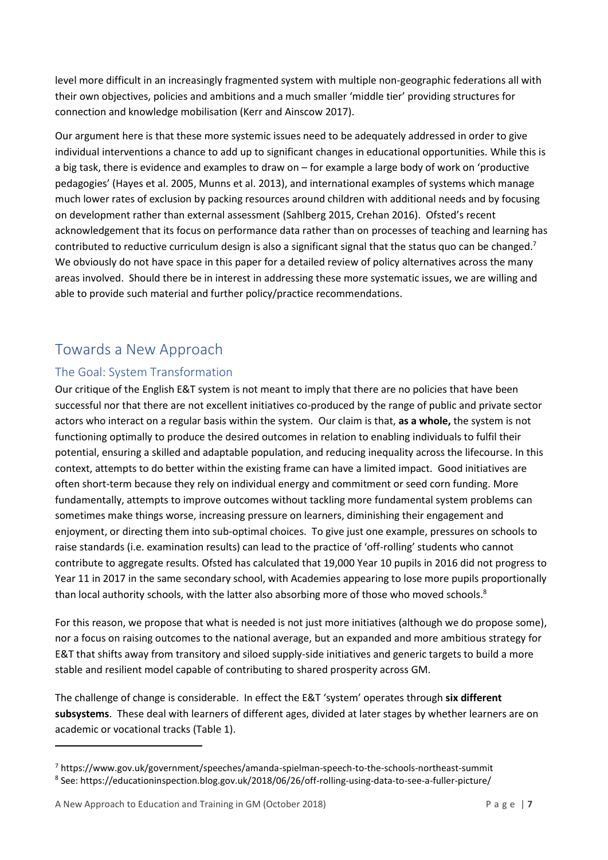level more difficult in an increasingly fragmented system with multiple non-geographic federations all with their own objectives, policies and ambitions and a much smaller 'middle tier' providing structures for connection and knowledge mobilisation (Kerr and Ainscow 2017).

Our argument here is that these more systemic issues need to be adequately addressed in order to give individual interventions a chance to add up to significant changes in educational opportunities. While this is a big task, there is evidence and examples to draw on – for example a large body of work on 'productive pedagogies' (Hayes et al. 2005, Munns et al. 2013), and international examples of systems which manage much lower rates of exclusion by packing resources around children with additional needs and by focusing on development rather than external assessment (Sahlberg 2015, Crehan 2016). Ofsted's recent acknowledgement that its focus on performance data rather than on processes of teaching and learning has contributed to reductive curriculum design is also a significant signal that the status quo can be changed.<sup>7</sup> We obviously do not have space in this paper for a detailed review of policy alternatives across the many areas involved. Should there be in interest in addressing these more systematic issues, we are willing and able to provide such material and further policy/practice recommendations.

# <span id="page-9-0"></span>Towards a New Approach

#### <span id="page-9-1"></span>The Goal: System Transformation

Our critique of the English E&T system is not meant to imply that there are no policies that have been successful nor that there are not excellent initiatives co-produced by the range of public and private sector actors who interact on a regular basis within the system. Our claim is that, **as a whole,** the system is not functioning optimally to produce the desired outcomes in relation to enabling individuals to fulfil their potential, ensuring a skilled and adaptable population, and reducing inequality across the lifecourse. In this context, attempts to do better within the existing frame can have a limited impact. Good initiatives are often short-term because they rely on individual energy and commitment or seed corn funding. More fundamentally, attempts to improve outcomes without tackling more fundamental system problems can sometimes make things worse, increasing pressure on learners, diminishing their engagement and enjoyment, or directing them into sub-optimal choices. To give just one example, pressures on schools to raise standards (i.e. examination results) can lead to the practice of 'off-rolling' students who cannot contribute to aggregate results. Ofsted has calculated that 19,000 Year 10 pupils in 2016 did not progress to Year 11 in 2017 in the same secondary school, with Academies appearing to lose more pupils proportionally than local authority schools, with the latter also absorbing more of those who moved schools.<sup>8</sup>

For this reason, we propose that what is needed is not just more initiatives (although we do propose some), nor a focus on raising outcomes to the national average, but an expanded and more ambitious strategy for E&T that shifts away from transitory and siloed supply-side initiatives and generic targets to build a more stable and resilient model capable of contributing to shared prosperity across GM.

The challenge of change is considerable. In effect the E&T 'system' operates through **six different subsystems**. These deal with learners of different ages, divided at later stages by whether learners are on academic or vocational tracks (Table 1).

**.** 

<sup>7</sup> https://www.gov.uk/government/speeches/amanda-spielman-speech-to-the-schools-northeast-summit 8 See: https://educationinspection.blog.gov.uk/2018/06/26/off-rolling-using-data-to-see-a-fuller-picture/

A New Approach to Education and Training in GM (October 2018) P a g e | **7**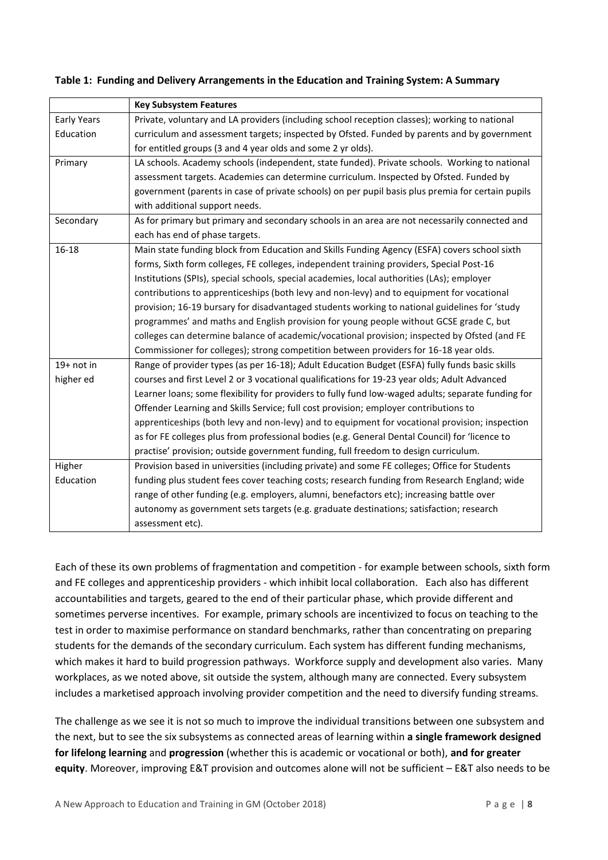|                                                                                                           | <b>Key Subsystem Features</b>                                                                      |  |  |
|-----------------------------------------------------------------------------------------------------------|----------------------------------------------------------------------------------------------------|--|--|
| Early Years                                                                                               | Private, voluntary and LA providers (including school reception classes); working to national      |  |  |
| Education                                                                                                 | curriculum and assessment targets; inspected by Ofsted. Funded by parents and by government        |  |  |
|                                                                                                           | for entitled groups (3 and 4 year olds and some 2 yr olds).                                        |  |  |
| Primary                                                                                                   | LA schools. Academy schools (independent, state funded). Private schools. Working to national      |  |  |
|                                                                                                           | assessment targets. Academies can determine curriculum. Inspected by Ofsted. Funded by             |  |  |
|                                                                                                           | government (parents in case of private schools) on per pupil basis plus premia for certain pupils  |  |  |
|                                                                                                           | with additional support needs.                                                                     |  |  |
| Secondary                                                                                                 | As for primary but primary and secondary schools in an area are not necessarily connected and      |  |  |
|                                                                                                           | each has end of phase targets.                                                                     |  |  |
| $16 - 18$                                                                                                 | Main state funding block from Education and Skills Funding Agency (ESFA) covers school sixth       |  |  |
|                                                                                                           | forms, Sixth form colleges, FE colleges, independent training providers, Special Post-16           |  |  |
|                                                                                                           | Institutions (SPIs), special schools, special academies, local authorities (LAs); employer         |  |  |
| contributions to apprenticeships (both levy and non-levy) and to equipment for vocational                 |                                                                                                    |  |  |
|                                                                                                           | provision; 16-19 bursary for disadvantaged students working to national guidelines for 'study      |  |  |
|                                                                                                           | programmes' and maths and English provision for young people without GCSE grade C, but             |  |  |
|                                                                                                           | colleges can determine balance of academic/vocational provision; inspected by Ofsted (and FE       |  |  |
|                                                                                                           | Commissioner for colleges); strong competition between providers for 16-18 year olds.              |  |  |
| $19+$ not in                                                                                              | Range of provider types (as per 16-18); Adult Education Budget (ESFA) fully funds basic skills     |  |  |
| higher ed<br>courses and first Level 2 or 3 vocational qualifications for 19-23 year olds; Adult Advanced |                                                                                                    |  |  |
|                                                                                                           | Learner loans; some flexibility for providers to fully fund low-waged adults; separate funding for |  |  |
| Offender Learning and Skills Service; full cost provision; employer contributions to                      |                                                                                                    |  |  |
|                                                                                                           | apprenticeships (both levy and non-levy) and to equipment for vocational provision; inspection     |  |  |
|                                                                                                           | as for FE colleges plus from professional bodies (e.g. General Dental Council) for 'licence to     |  |  |
|                                                                                                           | practise' provision; outside government funding, full freedom to design curriculum.                |  |  |
| Higher                                                                                                    | Provision based in universities (including private) and some FE colleges; Office for Students      |  |  |
| Education                                                                                                 | funding plus student fees cover teaching costs; research funding from Research England; wide       |  |  |
|                                                                                                           | range of other funding (e.g. employers, alumni, benefactors etc); increasing battle over           |  |  |
|                                                                                                           | autonomy as government sets targets (e.g. graduate destinations; satisfaction; research            |  |  |
|                                                                                                           | assessment etc).                                                                                   |  |  |

#### **Table 1: Funding and Delivery Arrangements in the Education and Training System: A Summary**

Each of these its own problems of fragmentation and competition - for example between schools, sixth form and FE colleges and apprenticeship providers - which inhibit local collaboration. Each also has different accountabilities and targets, geared to the end of their particular phase, which provide different and sometimes perverse incentives. For example, primary schools are incentivized to focus on teaching to the test in order to maximise performance on standard benchmarks, rather than concentrating on preparing students for the demands of the secondary curriculum. Each system has different funding mechanisms, which makes it hard to build progression pathways. Workforce supply and development also varies. Many workplaces, as we noted above, sit outside the system, although many are connected. Every subsystem includes a marketised approach involving provider competition and the need to diversify funding streams.

The challenge as we see it is not so much to improve the individual transitions between one subsystem and the next, but to see the six subsystems as connected areas of learning within **a single framework designed for lifelong learning** and **progression** (whether this is academic or vocational or both), **and for greater equity**. Moreover, improving E&T provision and outcomes alone will not be sufficient – E&T also needs to be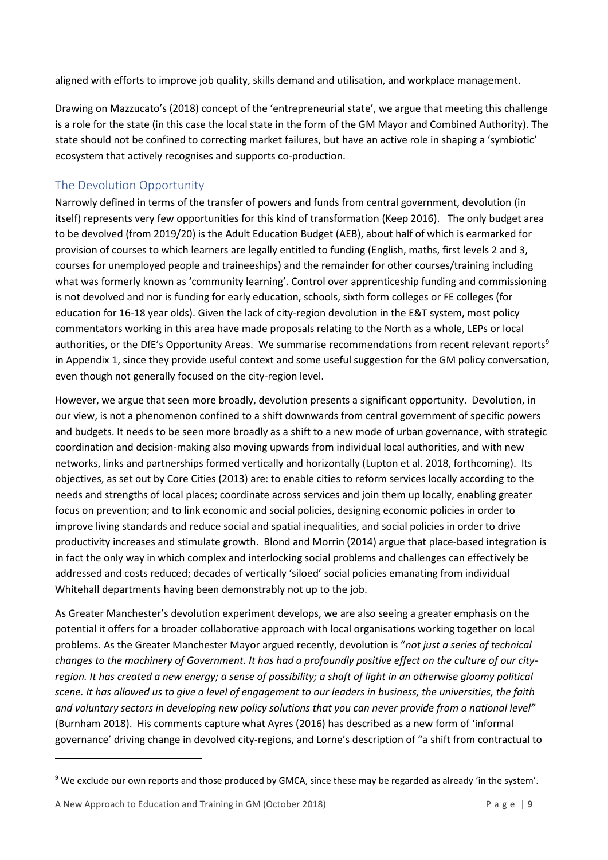aligned with efforts to improve job quality, skills demand and utilisation, and workplace management.

Drawing on Mazzucato's (2018) concept of the 'entrepreneurial state', we argue that meeting this challenge is a role for the state (in this case the local state in the form of the GM Mayor and Combined Authority). The state should not be confined to correcting market failures, but have an active role in shaping a 'symbiotic' ecosystem that actively recognises and supports co-production.

#### <span id="page-11-0"></span>The Devolution Opportunity

Narrowly defined in terms of the transfer of powers and funds from central government, devolution (in itself) represents very few opportunities for this kind of transformation (Keep 2016). The only budget area to be devolved (from 2019/20) is the Adult Education Budget (AEB), about half of which is earmarked for provision of courses to which learners are legally entitled to funding (English, maths, first levels 2 and 3, courses for unemployed people and traineeships) and the remainder for other courses/training including what was formerly known as 'community learning'. Control over apprenticeship funding and commissioning is not devolved and nor is funding for early education, schools, sixth form colleges or FE colleges (for education for 16-18 year olds). Given the lack of city-region devolution in the E&T system, most policy commentators working in this area have made proposals relating to the North as a whole, LEPs or local authorities, or the DfE's Opportunity Areas. We summarise recommendations from recent relevant reports<sup>9</sup> in Appendix 1, since they provide useful context and some useful suggestion for the GM policy conversation, even though not generally focused on the city-region level.

However, we argue that seen more broadly, devolution presents a significant opportunity. Devolution, in our view, is not a phenomenon confined to a shift downwards from central government of specific powers and budgets. It needs to be seen more broadly as a shift to a new mode of urban governance, with strategic coordination and decision-making also moving upwards from individual local authorities, and with new networks, links and partnerships formed vertically and horizontally (Lupton et al. 2018, forthcoming). Its objectives, as set out by Core Cities (2013) are: to enable cities to reform services locally according to the needs and strengths of local places; coordinate across services and join them up locally, enabling greater focus on prevention; and to link economic and social policies, designing economic policies in order to improve living standards and reduce social and spatial inequalities, and social policies in order to drive productivity increases and stimulate growth. Blond and Morrin (2014) argue that place-based integration is in fact the only way in which complex and interlocking social problems and challenges can effectively be addressed and costs reduced; decades of vertically 'siloed' social policies emanating from individual Whitehall departments having been demonstrably not up to the job.

As Greater Manchester's devolution experiment develops, we are also seeing a greater emphasis on the potential it offers for a broader collaborative approach with local organisations working together on local problems. As the Greater Manchester Mayor argued recently, devolution is "*not just a series of technical changes to the machinery of Government. It has had a profoundly positive effect on the culture of our cityregion. It has created a new energy; a sense of possibility; a shaft of light in an otherwise gloomy political scene. It has allowed us to give a level of engagement to our leaders in business, the universities, the faith and voluntary sectors in developing new policy solutions that you can never provide from a national level"* (Burnham 2018). His comments capture what Ayres (2016) has described as a new form of 'informal governance' driving change in devolved city-regions, and Lorne's description of "a shift from contractual to

 $\overline{a}$ 

<sup>9</sup> We exclude our own reports and those produced by GMCA, since these may be regarded as already 'in the system'.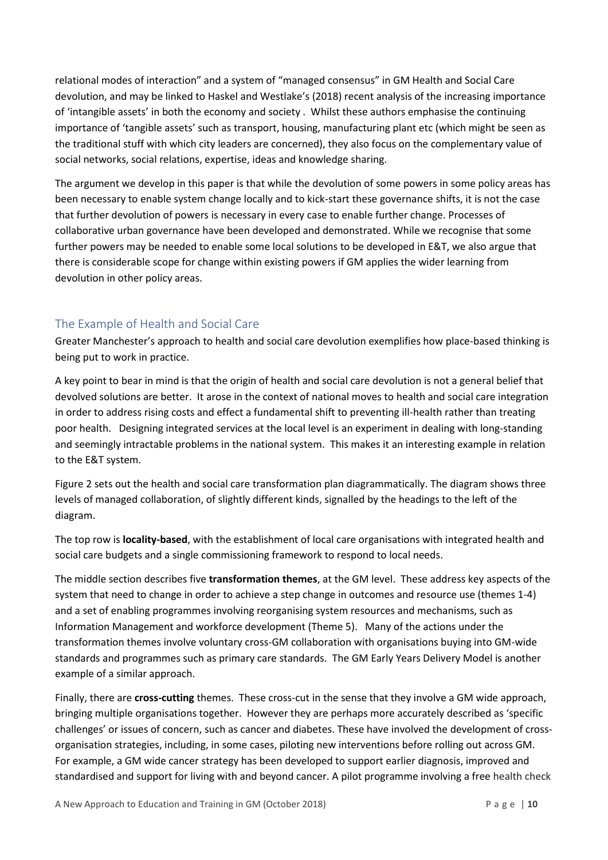relational modes of interaction" and a system of "managed consensus" in GM Health and Social Care devolution, and may be linked to Haskel and Westlake's (2018) recent analysis of the increasing importance of 'intangible assets' in both the economy and society . Whilst these authors emphasise the continuing importance of 'tangible assets' such as transport, housing, manufacturing plant etc (which might be seen as the traditional stuff with which city leaders are concerned), they also focus on the complementary value of social networks, social relations, expertise, ideas and knowledge sharing.

The argument we develop in this paper is that while the devolution of some powers in some policy areas has been necessary to enable system change locally and to kick-start these governance shifts, it is not the case that further devolution of powers is necessary in every case to enable further change. Processes of collaborative urban governance have been developed and demonstrated. While we recognise that some further powers may be needed to enable some local solutions to be developed in E&T, we also argue that there is considerable scope for change within existing powers if GM applies the wider learning from devolution in other policy areas.

#### <span id="page-12-0"></span>The Example of Health and Social Care

Greater Manchester's approach to health and social care devolution exemplifies how place-based thinking is being put to work in practice.

A key point to bear in mind is that the origin of health and social care devolution is not a general belief that devolved solutions are better. It arose in the context of national moves to health and social care integration in order to address rising costs and effect a fundamental shift to preventing ill-health rather than treating poor health. Designing integrated services at the local level is an experiment in dealing with long-standing and seemingly intractable problems in the national system. This makes it an interesting example in relation to the E&T system.

Figure 2 sets out the health and social care transformation plan diagrammatically. The diagram shows three levels of managed collaboration, of slightly different kinds, signalled by the headings to the left of the diagram.

The top row is **locality-based**, with the establishment of local care organisations with integrated health and social care budgets and a single commissioning framework to respond to local needs.

The middle section describes five **transformation themes**, at the GM level. These address key aspects of the system that need to change in order to achieve a step change in outcomes and resource use (themes 1-4) and a set of enabling programmes involving reorganising system resources and mechanisms, such as Information Management and workforce development (Theme 5). Many of the actions under the transformation themes involve voluntary cross-GM collaboration with organisations buying into GM-wide standards and programmes such as primary care standards. The GM Early Years Delivery Model is another example of a similar approach.

Finally, there are **cross-cutting** themes. These cross-cut in the sense that they involve a GM wide approach, bringing multiple organisations together. However they are perhaps more accurately described as 'specific challenges' or issues of concern, such as cancer and diabetes. These have involved the development of crossorganisation strategies, including, in some cases, piloting new interventions before rolling out across GM. For example, a GM wide cancer strategy has been developed to support earlier diagnosis, improved and standardised and support for living with and beyond cancer. A pilot programme involving a free health check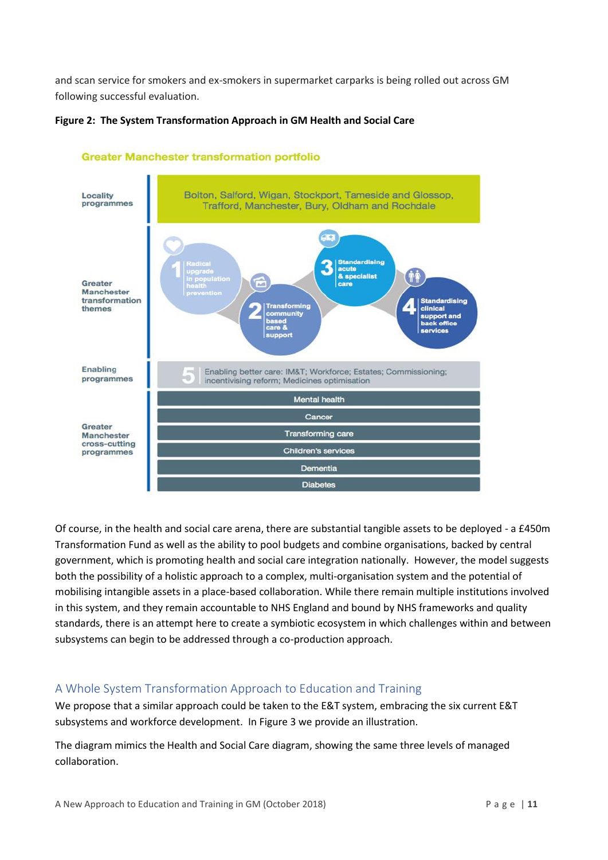and scan service for smokers and ex-smokers in supermarket carparks is being rolled out across GM following successful evaluation.



**Figure 2: The System Transformation Approach in GM Health and Social Care** 

Of course, in the health and social care arena, there are substantial tangible assets to be deployed - a £450m Transformation Fund as well as the ability to pool budgets and combine organisations, backed by central government, which is promoting health and social care integration nationally. However, the model suggests both the possibility of a holistic approach to a complex, multi-organisation system and the potential of mobilising intangible assets in a place-based collaboration. While there remain multiple institutions involved in this system, and they remain accountable to NHS England and bound by NHS frameworks and quality standards, there is an attempt here to create a symbiotic ecosystem in which challenges within and between subsystems can begin to be addressed through a co-production approach.

**Diabetes** 

#### <span id="page-13-0"></span>A Whole System Transformation Approach to Education and Training

We propose that a similar approach could be taken to the E&T system, embracing the six current E&T subsystems and workforce development. In Figure 3 we provide an illustration.

The diagram mimics the Health and Social Care diagram, showing the same three levels of managed collaboration.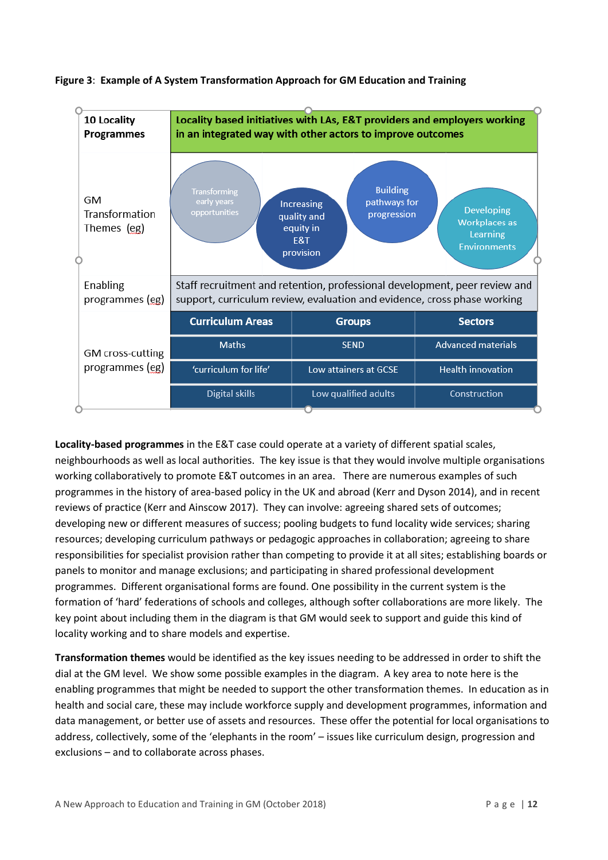

**Figure 3**: **Example of A System Transformation Approach for GM Education and Training**

**Locality-based programmes** in the E&T case could operate at a variety of different spatial scales, neighbourhoods as well as local authorities. The key issue is that they would involve multiple organisations working collaboratively to promote E&T outcomes in an area. There are numerous examples of such programmes in the history of area-based policy in the UK and abroad (Kerr and Dyson 2014), and in recent reviews of practice (Kerr and Ainscow 2017). They can involve: agreeing shared sets of outcomes; developing new or different measures of success; pooling budgets to fund locality wide services; sharing resources; developing curriculum pathways or pedagogic approaches in collaboration; agreeing to share responsibilities for specialist provision rather than competing to provide it at all sites; establishing boards or panels to monitor and manage exclusions; and participating in shared professional development programmes. Different organisational forms are found. One possibility in the current system is the formation of 'hard' federations of schools and colleges, although softer collaborations are more likely. The key point about including them in the diagram is that GM would seek to support and guide this kind of locality working and to share models and expertise.

**Transformation themes** would be identified as the key issues needing to be addressed in order to shift the dial at the GM level. We show some possible examples in the diagram. A key area to note here is the enabling programmes that might be needed to support the other transformation themes. In education as in health and social care, these may include workforce supply and development programmes, information and data management, or better use of assets and resources. These offer the potential for local organisations to address, collectively, some of the 'elephants in the room' – issues like curriculum design, progression and exclusions – and to collaborate across phases.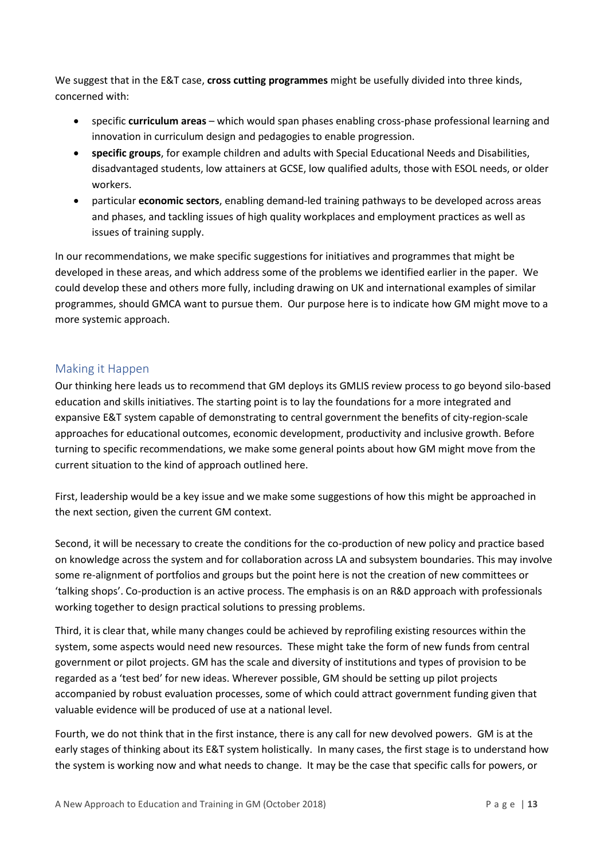We suggest that in the E&T case, **cross cutting programmes** might be usefully divided into three kinds, concerned with:

- specific **curriculum areas** which would span phases enabling cross-phase professional learning and innovation in curriculum design and pedagogies to enable progression.
- **specific groups**, for example children and adults with Special Educational Needs and Disabilities, disadvantaged students, low attainers at GCSE, low qualified adults, those with ESOL needs, or older workers.
- particular **economic sectors**, enabling demand-led training pathways to be developed across areas and phases, and tackling issues of high quality workplaces and employment practices as well as issues of training supply.

In our recommendations, we make specific suggestions for initiatives and programmes that might be developed in these areas, and which address some of the problems we identified earlier in the paper. We could develop these and others more fully, including drawing on UK and international examples of similar programmes, should GMCA want to pursue them. Our purpose here is to indicate how GM might move to a more systemic approach.

#### <span id="page-15-0"></span>Making it Happen

Our thinking here leads us to recommend that GM deploys its GMLIS review process to go beyond silo-based education and skills initiatives. The starting point is to lay the foundations for a more integrated and expansive E&T system capable of demonstrating to central government the benefits of city-region-scale approaches for educational outcomes, economic development, productivity and inclusive growth. Before turning to specific recommendations, we make some general points about how GM might move from the current situation to the kind of approach outlined here.

First, leadership would be a key issue and we make some suggestions of how this might be approached in the next section, given the current GM context.

Second, it will be necessary to create the conditions for the co-production of new policy and practice based on knowledge across the system and for collaboration across LA and subsystem boundaries. This may involve some re-alignment of portfolios and groups but the point here is not the creation of new committees or 'talking shops'. Co-production is an active process. The emphasis is on an R&D approach with professionals working together to design practical solutions to pressing problems.

Third, it is clear that, while many changes could be achieved by reprofiling existing resources within the system, some aspects would need new resources. These might take the form of new funds from central government or pilot projects. GM has the scale and diversity of institutions and types of provision to be regarded as a 'test bed' for new ideas. Wherever possible, GM should be setting up pilot projects accompanied by robust evaluation processes, some of which could attract government funding given that valuable evidence will be produced of use at a national level.

Fourth, we do not think that in the first instance, there is any call for new devolved powers. GM is at the early stages of thinking about its E&T system holistically. In many cases, the first stage is to understand how the system is working now and what needs to change. It may be the case that specific calls for powers, or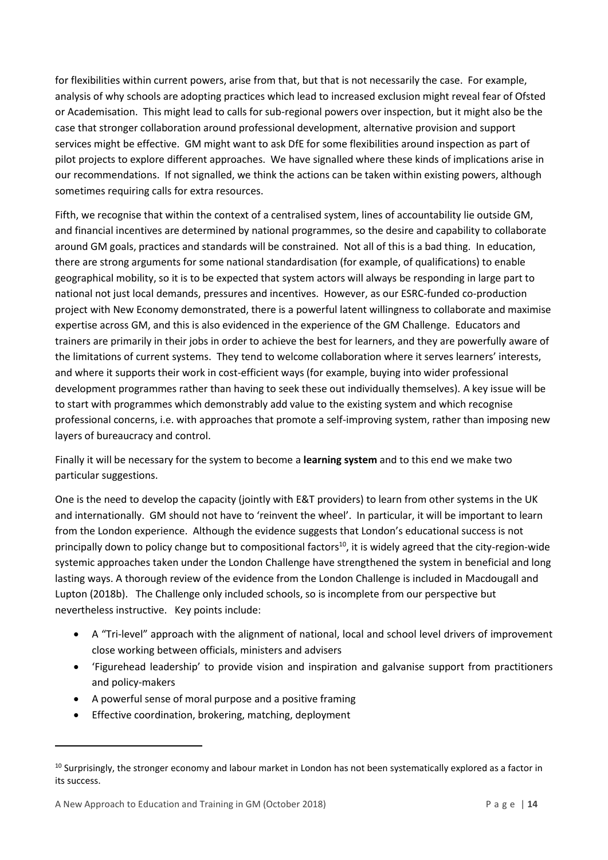for flexibilities within current powers, arise from that, but that is not necessarily the case. For example, analysis of why schools are adopting practices which lead to increased exclusion might reveal fear of Ofsted or Academisation. This might lead to calls for sub-regional powers over inspection, but it might also be the case that stronger collaboration around professional development, alternative provision and support services might be effective. GM might want to ask DfE for some flexibilities around inspection as part of pilot projects to explore different approaches. We have signalled where these kinds of implications arise in our recommendations. If not signalled, we think the actions can be taken within existing powers, although sometimes requiring calls for extra resources.

Fifth, we recognise that within the context of a centralised system, lines of accountability lie outside GM, and financial incentives are determined by national programmes, so the desire and capability to collaborate around GM goals, practices and standards will be constrained. Not all of this is a bad thing. In education, there are strong arguments for some national standardisation (for example, of qualifications) to enable geographical mobility, so it is to be expected that system actors will always be responding in large part to national not just local demands, pressures and incentives. However, as our ESRC-funded co-production project with New Economy demonstrated, there is a powerful latent willingness to collaborate and maximise expertise across GM, and this is also evidenced in the experience of the GM Challenge. Educators and trainers are primarily in their jobs in order to achieve the best for learners, and they are powerfully aware of the limitations of current systems. They tend to welcome collaboration where it serves learners' interests, and where it supports their work in cost-efficient ways (for example, buying into wider professional development programmes rather than having to seek these out individually themselves). A key issue will be to start with programmes which demonstrably add value to the existing system and which recognise professional concerns, i.e. with approaches that promote a self-improving system, rather than imposing new layers of bureaucracy and control.

Finally it will be necessary for the system to become a **learning system** and to this end we make two particular suggestions.

One is the need to develop the capacity (jointly with E&T providers) to learn from other systems in the UK and internationally. GM should not have to 'reinvent the wheel'. In particular, it will be important to learn from the London experience. Although the evidence suggests that London's educational success is not principally down to policy change but to compositional factors<sup>10</sup>, it is widely agreed that the city-region-wide systemic approaches taken under the London Challenge have strengthened the system in beneficial and long lasting ways. A thorough review of the evidence from the London Challenge is included in Macdougall and Lupton (2018b). The Challenge only included schools, so is incomplete from our perspective but nevertheless instructive. Key points include:

- A "Tri-level" approach with the alignment of national, local and school level drivers of improvement close working between officials, ministers and advisers
- 'Figurehead leadership' to provide vision and inspiration and galvanise support from practitioners and policy-makers
- A powerful sense of moral purpose and a positive framing
- Effective coordination, brokering, matching, deployment

**.** 

 $10$  Surprisingly, the stronger economy and labour market in London has not been systematically explored as a factor in its success.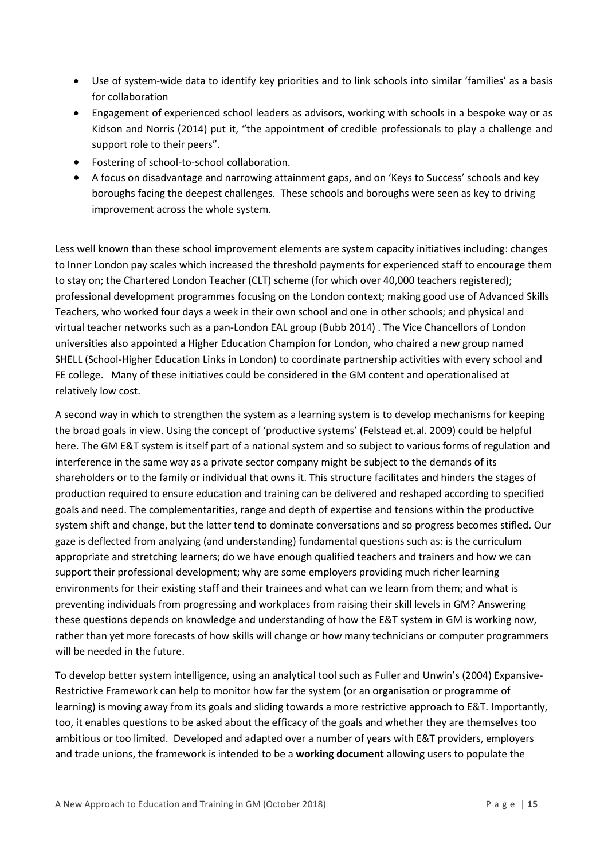- Use of system-wide data to identify key priorities and to link schools into similar 'families' as a basis for collaboration
- Engagement of experienced school leaders as advisors, working with schools in a bespoke way or as Kidson and Norris (2014) put it, "the appointment of credible professionals to play a challenge and support role to their peers".
- Fostering of school-to-school collaboration.
- A focus on disadvantage and narrowing attainment gaps, and on 'Keys to Success' schools and key boroughs facing the deepest challenges. These schools and boroughs were seen as key to driving improvement across the whole system.

Less well known than these school improvement elements are system capacity initiatives including: changes to Inner London pay scales which increased the threshold payments for experienced staff to encourage them to stay on; the Chartered London Teacher (CLT) scheme (for which over 40,000 teachers registered); professional development programmes focusing on the London context; making good use of Advanced Skills Teachers, who worked four days a week in their own school and one in other schools; and physical and virtual teacher networks such as a pan-London EAL group (Bubb 2014) . The Vice Chancellors of London universities also appointed a Higher Education Champion for London, who chaired a new group named SHELL (School-Higher Education Links in London) to coordinate partnership activities with every school and FE college. Many of these initiatives could be considered in the GM content and operationalised at relatively low cost.

A second way in which to strengthen the system as a learning system is to develop mechanisms for keeping the broad goals in view. Using the concept of 'productive systems' (Felstead et.al. 2009) could be helpful here. The GM E&T system is itself part of a national system and so subject to various forms of regulation and interference in the same way as a private sector company might be subject to the demands of its shareholders or to the family or individual that owns it. This structure facilitates and hinders the stages of production required to ensure education and training can be delivered and reshaped according to specified goals and need. The complementarities, range and depth of expertise and tensions within the productive system shift and change, but the latter tend to dominate conversations and so progress becomes stifled. Our gaze is deflected from analyzing (and understanding) fundamental questions such as: is the curriculum appropriate and stretching learners; do we have enough qualified teachers and trainers and how we can support their professional development; why are some employers providing much richer learning environments for their existing staff and their trainees and what can we learn from them; and what is preventing individuals from progressing and workplaces from raising their skill levels in GM? Answering these questions depends on knowledge and understanding of how the E&T system in GM is working now, rather than yet more forecasts of how skills will change or how many technicians or computer programmers will be needed in the future.

To develop better system intelligence, using an analytical tool such as Fuller and Unwin's (2004) Expansive-Restrictive Framework can help to monitor how far the system (or an organisation or programme of learning) is moving away from its goals and sliding towards a more restrictive approach to E&T. Importantly, too, it enables questions to be asked about the efficacy of the goals and whether they are themselves too ambitious or too limited. Developed and adapted over a number of years with E&T providers, employers and trade unions, the framework is intended to be a **working document** allowing users to populate the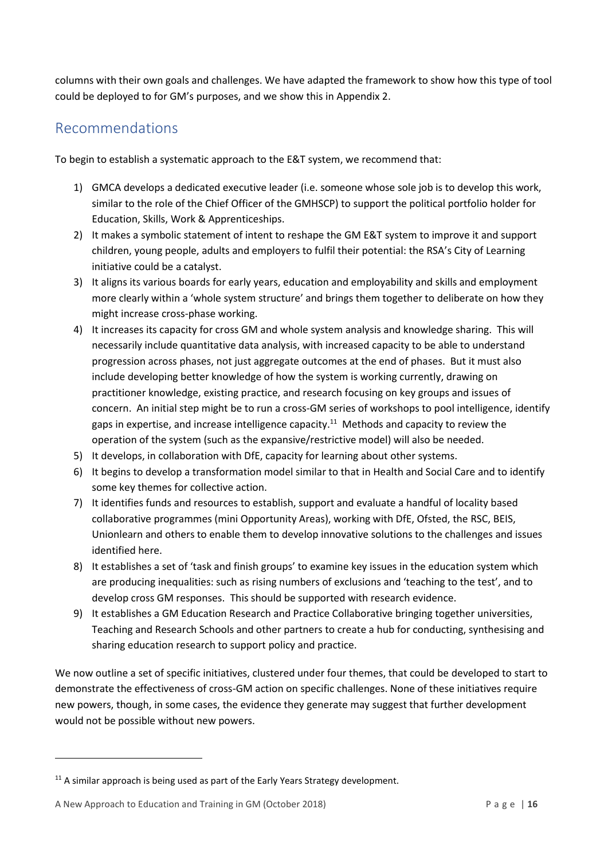columns with their own goals and challenges. We have adapted the framework to show how this type of tool could be deployed to for GM's purposes, and we show this in Appendix 2.

# <span id="page-18-0"></span>Recommendations

To begin to establish a systematic approach to the E&T system, we recommend that:

- 1) GMCA develops a dedicated executive leader (i.e. someone whose sole job is to develop this work, similar to the role of the Chief Officer of the GMHSCP) to support the political portfolio holder for Education, Skills, Work & Apprenticeships.
- 2) It makes a symbolic statement of intent to reshape the GM E&T system to improve it and support children, young people, adults and employers to fulfil their potential: the RSA's City of Learning initiative could be a catalyst.
- 3) It aligns its various boards for early years, education and employability and skills and employment more clearly within a 'whole system structure' and brings them together to deliberate on how they might increase cross-phase working.
- 4) It increases its capacity for cross GM and whole system analysis and knowledge sharing. This will necessarily include quantitative data analysis, with increased capacity to be able to understand progression across phases, not just aggregate outcomes at the end of phases. But it must also include developing better knowledge of how the system is working currently, drawing on practitioner knowledge, existing practice, and research focusing on key groups and issues of concern. An initial step might be to run a cross-GM series of workshops to pool intelligence, identify gaps in expertise, and increase intelligence capacity.<sup>11</sup> Methods and capacity to review the operation of the system (such as the expansive/restrictive model) will also be needed.
- 5) It develops, in collaboration with DfE, capacity for learning about other systems.
- 6) It begins to develop a transformation model similar to that in Health and Social Care and to identify some key themes for collective action.
- 7) It identifies funds and resources to establish, support and evaluate a handful of locality based collaborative programmes (mini Opportunity Areas), working with DfE, Ofsted, the RSC, BEIS, Unionlearn and others to enable them to develop innovative solutions to the challenges and issues identified here.
- 8) It establishes a set of 'task and finish groups' to examine key issues in the education system which are producing inequalities: such as rising numbers of exclusions and 'teaching to the test', and to develop cross GM responses. This should be supported with research evidence.
- 9) It establishes a GM Education Research and Practice Collaborative bringing together universities, Teaching and Research Schools and other partners to create a hub for conducting, synthesising and sharing education research to support policy and practice.

We now outline a set of specific initiatives, clustered under four themes, that could be developed to start to demonstrate the effectiveness of cross-GM action on specific challenges. None of these initiatives require new powers, though, in some cases, the evidence they generate may suggest that further development would not be possible without new powers.

 $\overline{a}$ 

 $11$  A similar approach is being used as part of the Early Years Strategy development.

A New Approach to Education and Training in GM (October 2018) P a g e | **16**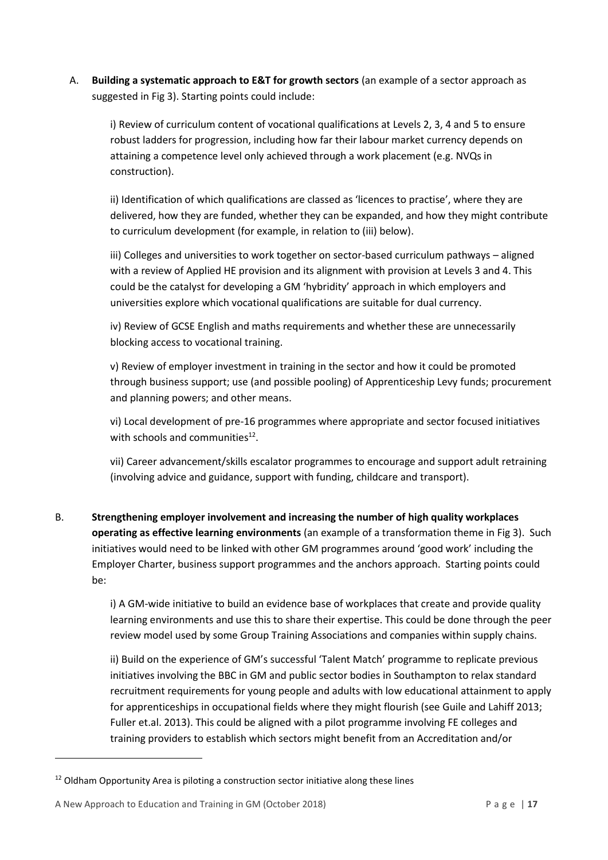A. **Building a systematic approach to E&T for growth sectors** (an example of a sector approach as suggested in Fig 3). Starting points could include:

i) Review of curriculum content of vocational qualifications at Levels 2, 3, 4 and 5 to ensure robust ladders for progression, including how far their labour market currency depends on attaining a competence level only achieved through a work placement (e.g. NVQs in construction).

ii) Identification of which qualifications are classed as 'licences to practise', where they are delivered, how they are funded, whether they can be expanded, and how they might contribute to curriculum development (for example, in relation to (iii) below).

iii) Colleges and universities to work together on sector-based curriculum pathways – aligned with a review of Applied HE provision and its alignment with provision at Levels 3 and 4. This could be the catalyst for developing a GM 'hybridity' approach in which employers and universities explore which vocational qualifications are suitable for dual currency.

iv) Review of GCSE English and maths requirements and whether these are unnecessarily blocking access to vocational training.

v) Review of employer investment in training in the sector and how it could be promoted through business support; use (and possible pooling) of Apprenticeship Levy funds; procurement and planning powers; and other means.

vi) Local development of pre-16 programmes where appropriate and sector focused initiatives with schools and communities<sup>12</sup>.

vii) Career advancement/skills escalator programmes to encourage and support adult retraining (involving advice and guidance, support with funding, childcare and transport).

B. **Strengthening employer involvement and increasing the number of high quality workplaces operating as effective learning environments** (an example of a transformation theme in Fig 3). Such initiatives would need to be linked with other GM programmes around 'good work' including the Employer Charter, business support programmes and the anchors approach. Starting points could be:

> i) A GM-wide initiative to build an evidence base of workplaces that create and provide quality learning environments and use this to share their expertise. This could be done through the peer review model used by some Group Training Associations and companies within supply chains.

> ii) Build on the experience of GM's successful 'Talent Match' programme to replicate previous initiatives involving the BBC in GM and public sector bodies in Southampton to relax standard recruitment requirements for young people and adults with low educational attainment to apply for apprenticeships in occupational fields where they might flourish (see Guile and Lahiff 2013; Fuller et.al. 2013). This could be aligned with a pilot programme involving FE colleges and training providers to establish which sectors might benefit from an Accreditation and/or

 $\overline{a}$ 

<sup>&</sup>lt;sup>12</sup> Oldham Opportunity Area is piloting a construction sector initiative along these lines

A New Approach to Education and Training in GM (October 2018) P a g e | **17**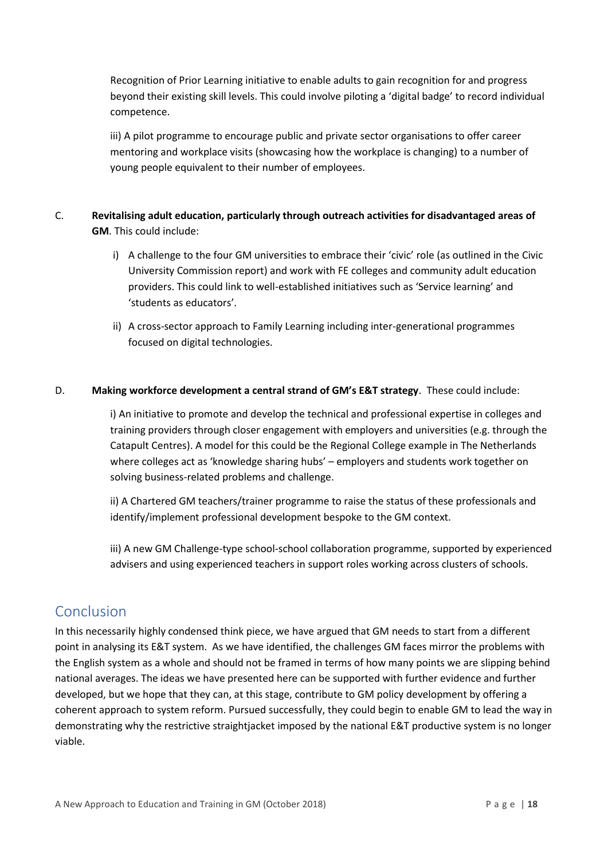Recognition of Prior Learning initiative to enable adults to gain recognition for and progress beyond their existing skill levels. This could involve piloting a 'digital badge' to record individual competence.

iii) A pilot programme to encourage public and private sector organisations to offer career mentoring and workplace visits (showcasing how the workplace is changing) to a number of young people equivalent to their number of employees.

#### C. **Revitalising adult education, particularly through outreach activities for disadvantaged areas of GM**. This could include:

- i) A challenge to the four GM universities to embrace their 'civic' role (as outlined in the Civic University Commission report) and work with FE colleges and community adult education providers. This could link to well-established initiatives such as 'Service learning' and 'students as educators'.
- ii) A cross-sector approach to Family Learning including inter-generational programmes focused on digital technologies.

#### D. **Making workforce development a central strand of GM's E&T strategy**. These could include:

i) An initiative to promote and develop the technical and professional expertise in colleges and training providers through closer engagement with employers and universities (e.g. through the Catapult Centres). A model for this could be the Regional College example in The Netherlands where colleges act as 'knowledge sharing hubs' – employers and students work together on solving business-related problems and challenge.

ii) A Chartered GM teachers/trainer programme to raise the status of these professionals and identify/implement professional development bespoke to the GM context.

iii) A new GM Challenge-type school-school collaboration programme, supported by experienced advisers and using experienced teachers in support roles working across clusters of schools.

## <span id="page-20-0"></span>Conclusion

In this necessarily highly condensed think piece, we have argued that GM needs to start from a different point in analysing its E&T system. As we have identified, the challenges GM faces mirror the problems with the English system as a whole and should not be framed in terms of how many points we are slipping behind national averages. The ideas we have presented here can be supported with further evidence and further developed, but we hope that they can, at this stage, contribute to GM policy development by offering a coherent approach to system reform. Pursued successfully, they could begin to enable GM to lead the way in demonstrating why the restrictive straightjacket imposed by the national E&T productive system is no longer viable.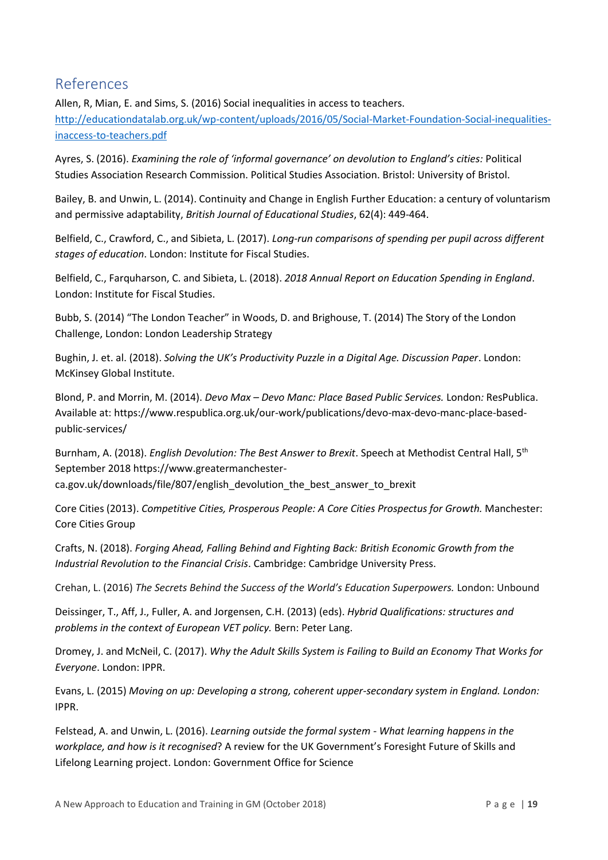# <span id="page-21-0"></span>References

Allen, R, Mian, E. and Sims, S. (2016) Social inequalities in access to teachers. [http://educationdatalab.org.uk/wp-content/uploads/2016/05/Social-Market-Foundation-Social-inequalities](http://educationdatalab.org.uk/wp-content/uploads/2016/05/Social-Market-Foundation-Social-inequalities-inaccess-to-teachers.pdf)[inaccess-to-teachers.pdf](http://educationdatalab.org.uk/wp-content/uploads/2016/05/Social-Market-Foundation-Social-inequalities-inaccess-to-teachers.pdf)

Ayres, S. (2016). *Examining the role of 'informal governance' on devolution to England's cities:* Political Studies Association Research Commission. Political Studies Association. Bristol: University of Bristol.

Bailey, B. and Unwin, L. (2014). Continuity and Change in English Further Education: a century of voluntarism and permissive adaptability, *British Journal of Educational Studies*, 62(4): 449-464.

Belfield, C., Crawford, C., and Sibieta, L. (2017). *Long-run comparisons of spending per pupil across different stages of education*. London: Institute for Fiscal Studies.

Belfield, C., Farquharson, C. and Sibieta, L. (2018). *2018 Annual Report on Education Spending in England*. London: Institute for Fiscal Studies.

Bubb, S. (2014) "The London Teacher" in Woods, D. and Brighouse, T. (2014) The Story of the London Challenge, London: London Leadership Strategy

Bughin, J. et. al. (2018). *Solving the UK's Productivity Puzzle in a Digital Age. Discussion Paper*. London: McKinsey Global Institute.

Blond, P. and Morrin, M. (2014). *Devo Max – Devo Manc: Place Based Public Services.* London*:* ResPublica. Available at: https://www.respublica.org.uk/our-work/publications/devo-max-devo-manc-place-basedpublic-services/

Burnham, A. (2018). *English Devolution: The Best Answer to Brexit*. Speech at Methodist Central Hall, 5th September 2018 https://www.greatermanchesterca.gov.uk/downloads/file/807/english\_devolution\_the\_best\_answer\_to\_brexit

Core Cities (2013). *Competitive Cities, Prosperous People: A Core Cities Prospectus for Growth.* Manchester: Core Cities Group

Crafts, N. (2018). *Forging Ahead, Falling Behind and Fighting Back: British Economic Growth from the Industrial Revolution to the Financial Crisis*. Cambridge: Cambridge University Press.

Crehan, L. (2016) *The Secrets Behind the Success of the World's Education Superpowers.* London: Unbound

Deissinger, T., Aff, J., Fuller, A. and Jorgensen, C.H. (2013) (eds). *Hybrid Qualifications: structures and problems in the context of European VET policy.* Bern: Peter Lang.

Dromey, J. and McNeil, C. (2017). *Why the Adult Skills System is Failing to Build an Economy That Works for Everyone*. London: IPPR.

Evans, L. (2015) *Moving on up: Developing a strong, coherent upper-secondary system in England. London:* IPPR.

Felstead, A. and Unwin, L. (2016). *Learning outside the formal system - What learning happens in the workplace, and how is it recognised*? A review for the UK Government's Foresight Future of Skills and Lifelong Learning project. London: Government Office for Science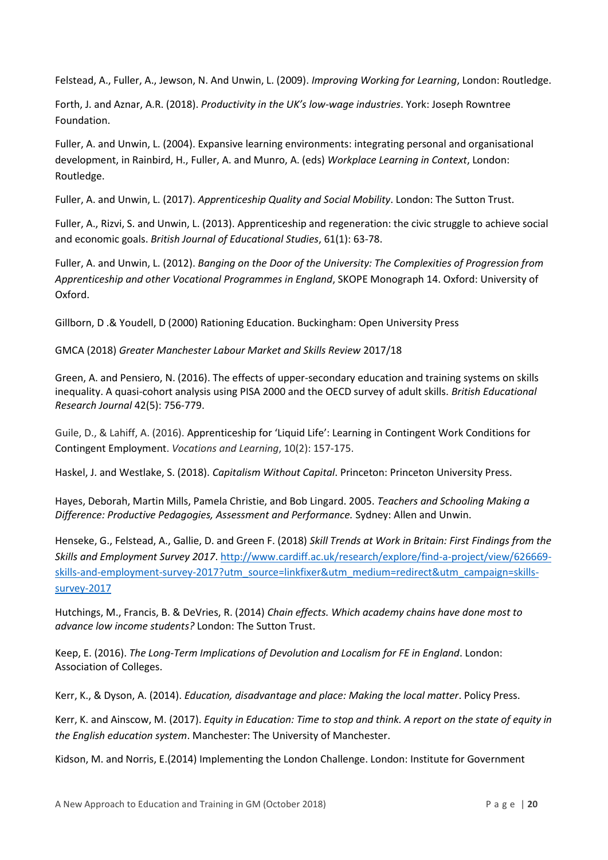Felstead, A., Fuller, A., Jewson, N. And Unwin, L. (2009). *Improving Working for Learning*, London: Routledge.

Forth, J. and Aznar, A.R. (2018). *Productivity in the UK's low-wage industries*. York: Joseph Rowntree Foundation.

Fuller, A. and Unwin, L. (2004). Expansive learning environments: integrating personal and organisational development, in Rainbird, H., Fuller, A. and Munro, A. (eds) *Workplace Learning in Context*, London: Routledge.

Fuller, A. and Unwin, L. (2017). *Apprenticeship Quality and Social Mobility*. London: The Sutton Trust.

Fuller, A., Rizvi, S. and Unwin, L. (2013). Apprenticeship and regeneration: the civic struggle to achieve social and economic goals. *British Journal of Educational Studies*, 61(1): 63-78.

Fuller, A. and Unwin, L. (2012). *Banging on the Door of the University: The Complexities of Progression from Apprenticeship and other Vocational Programmes in England*, SKOPE Monograph 14. Oxford: University of Oxford.

Gillborn, D .& Youdell, D (2000) Rationing Education. Buckingham: Open University Press

GMCA (2018) *Greater Manchester Labour Market and Skills Review* 2017/18

Green, A. and Pensiero, N. (2016). The effects of upper-secondary education and training systems on skills inequality. A quasi-cohort analysis using PISA 2000 and the OECD survey of adult skills. *British Educational Research Journal* 42(5): 756-779.

Guile, D., & Lahiff, A. (2016). [Apprenticeship](https://iris.ucl.ac.uk/iris/publication/1195394/1) for 'Liquid Life': Learning in Contingent Work Conditions for Contingent [Employment.](https://iris.ucl.ac.uk/iris/publication/1195394/1) *Vocations and Learning*, 10(2): 157-175.

Haskel, J. and Westlake, S. (2018). *Capitalism Without Capital*. Princeton: Princeton University Press.

Hayes, Deborah, Martin Mills, Pamela Christie, and Bob Lingard. 2005. *Teachers and Schooling Making a Difference: Productive Pedagogies, Assessment and Performance.* Sydney: Allen and Unwin.

Henseke, G., Felstead, A., Gallie, D. and Green F. (2018) *Skill Trends at Work in Britain: First Findings from the Skills and Employment Survey 2017*. [http://www.cardiff.ac.uk/research/explore/find-a-project/view/626669](http://www.cardiff.ac.uk/research/explore/find-a-project/view/626669-skills-and-employment-survey-2017?utm_source=linkfixer&utm_medium=redirect&utm_campaign=skills-survey-2017) [skills-and-employment-survey-2017?utm\\_source=linkfixer&utm\\_medium=redirect&utm\\_campaign=skills](http://www.cardiff.ac.uk/research/explore/find-a-project/view/626669-skills-and-employment-survey-2017?utm_source=linkfixer&utm_medium=redirect&utm_campaign=skills-survey-2017)[survey-2017](http://www.cardiff.ac.uk/research/explore/find-a-project/view/626669-skills-and-employment-survey-2017?utm_source=linkfixer&utm_medium=redirect&utm_campaign=skills-survey-2017)

Hutchings, M., Francis, B. & DeVries, R. (2014) *Chain effects. Which academy chains have done most to advance low income students?* London: The Sutton Trust.

Keep, E. (2016). *The Long-Term Implications of Devolution and Localism for FE in England*. London: Association of Colleges.

Kerr, K., & Dyson, A. (2014). *Education, disadvantage and place: Making the local matter*. Policy Press.

Kerr, K. and Ainscow, M. (2017). *Equity in Education: Time to stop and think. A report on the state of equity in the English education system*. Manchester: The University of Manchester.

Kidson, M. and Norris, E.(2014) Implementing the London Challenge. London: Institute for Government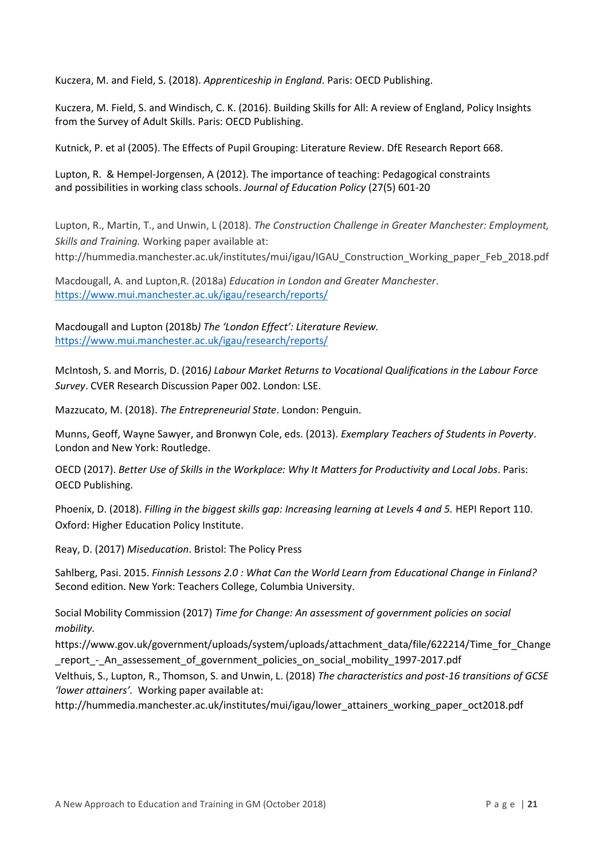Kuczera, M. and Field, S. (2018). *Apprenticeship in England*. Paris: OECD Publishing.

Kuczera, M. Field, S. and Windisch, C. K. (2016). Building Skills for All: A review of England, Policy Insights from the Survey of Adult Skills. Paris: OECD Publishing.

Kutnick, P. et al (2005). The Effects of Pupil Grouping: Literature Review. DfE Research Report 668.

Lupton, R. & Hempel-Jorgensen, A (2012). The importance of teaching: Pedagogical constraints and possibilities in working class schools. *Journal of Education Policy* (27(5) 601-20

Lupton, R., Martin, T., and Unwin, L (2018). *The Construction Challenge in Greater Manchester: Employment, Skills and Training.* Working paper available at: http://hummedia.manchester.ac.uk/institutes/mui/igau/IGAU\_Construction\_Working\_paper\_Feb\_2018.pdf

Macdougall, A. and Lupton,R. (2018a) *Education in London and Greater Manchester*. <https://www.mui.manchester.ac.uk/igau/research/reports/>

Macdougall and Lupton (2018b*) The 'London Effect': Literature Review.*  <https://www.mui.manchester.ac.uk/igau/research/reports/>

McIntosh, S. and Morris, D. (2016*) Labour Market Returns to Vocational Qualifications in the Labour Force Survey*. CVER Research Discussion Paper 002. London: LSE.

Mazzucato, M. (2018). *The Entrepreneurial State*. London: Penguin.

Munns, Geoff, Wayne Sawyer, and Bronwyn Cole, eds. (2013). *Exemplary Teachers of Students in Poverty*. London and New York: Routledge.

OECD (2017). *Better Use of Skills in the Workplace: Why It Matters for Productivity and Local Jobs*. Paris: OECD Publishing.

Phoenix, D. (2018). *Filling in the biggest skills gap: Increasing learning at Levels 4 and 5.* HEPI Report 110. Oxford: Higher Education Policy Institute.

Reay, D. (2017) *Miseducation*. Bristol: The Policy Press

Sahlberg, Pasi. 2015. *Finnish Lessons 2.0 : What Can the World Learn from Educational Change in Finland?* Second edition. New York: Teachers College, Columbia University.

Social Mobility Commission (2017) *Time for Change: An assessment of government policies on social mobility.* 

https://www.gov.uk/government/uploads/system/uploads/attachment\_data/file/622214/Time\_for\_Change \_report\_-\_An\_assessement\_of\_government\_policies\_on\_social\_mobility\_1997-2017.pdf

Velthuis, S., Lupton, R., Thomson, S. and Unwin, L. (2018) *The characteristics and post-16 transitions of GCSE 'lower attainers'.* Working paper available at:

http://hummedia.manchester.ac.uk/institutes/mui/igau/lower\_attainers\_working\_paper\_oct2018.pdf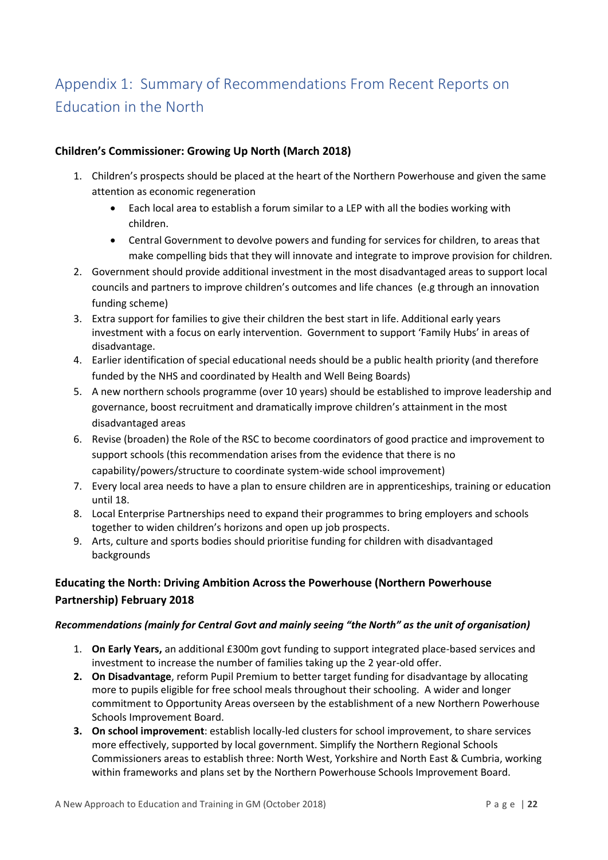# <span id="page-24-0"></span>Appendix 1: Summary of Recommendations From Recent Reports on Education in the North

#### **Children's Commissioner: Growing Up North (March 2018)**

- 1. Children's prospects should be placed at the heart of the Northern Powerhouse and given the same attention as economic regeneration
	- Each local area to establish a forum similar to a LEP with all the bodies working with children.
	- Central Government to devolve powers and funding for services for children, to areas that make compelling bids that they will innovate and integrate to improve provision for children*.*
- 2. Government should provide additional investment in the most disadvantaged areas to support local councils and partners to improve children's outcomes and life chances (e.g through an innovation funding scheme)
- 3. Extra support for families to give their children the best start in life. Additional early years investment with a focus on early intervention. Government to support 'Family Hubs' in areas of disadvantage.
- 4. Earlier identification of special educational needs should be a public health priority (and therefore funded by the NHS and coordinated by Health and Well Being Boards)
- 5. A new northern schools programme (over 10 years) should be established to improve leadership and governance, boost recruitment and dramatically improve children's attainment in the most disadvantaged areas
- 6. Revise (broaden) the Role of the RSC to become coordinators of good practice and improvement to support schools (this recommendation arises from the evidence that there is no capability/powers/structure to coordinate system-wide school improvement)
- 7. Every local area needs to have a plan to ensure children are in apprenticeships, training or education until 18.
- 8. Local Enterprise Partnerships need to expand their programmes to bring employers and schools together to widen children's horizons and open up job prospects.
- 9. Arts, culture and sports bodies should prioritise funding for children with disadvantaged backgrounds

### **Educating the North: Driving Ambition Across the Powerhouse (Northern Powerhouse Partnership) February 2018**

#### *Recommendations (mainly for Central Govt and mainly seeing "the North" as the unit of organisation)*

- 1. **On Early Years,** an additional £300m govt funding to support integrated place-based services and investment to increase the number of families taking up the 2 year-old offer.
- **2. On Disadvantage**, reform Pupil Premium to better target funding for disadvantage by allocating more to pupils eligible for free school meals throughout their schooling. A wider and longer commitment to Opportunity Areas overseen by the establishment of a new Northern Powerhouse Schools Improvement Board.
- **3. On school improvement**: establish locally-led clusters for school improvement, to share services more effectively, supported by local government. Simplify the Northern Regional Schools Commissioners areas to establish three: North West, Yorkshire and North East & Cumbria, working within frameworks and plans set by the Northern Powerhouse Schools Improvement Board.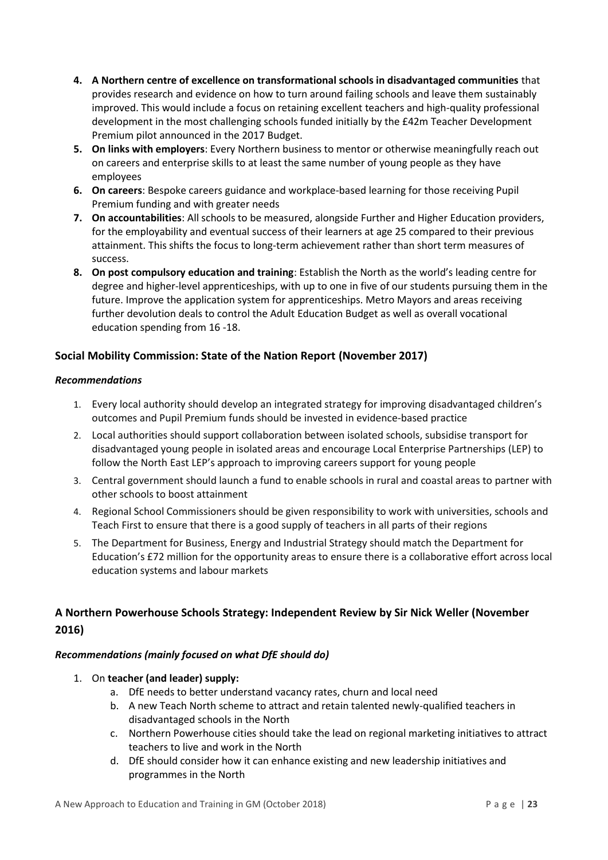- **4. A Northern centre of excellence on transformational schools in disadvantaged communities** that provides research and evidence on how to turn around failing schools and leave them sustainably improved. This would include a focus on retaining excellent teachers and high-quality professional development in the most challenging schools funded initially by the £42m Teacher Development Premium pilot announced in the 2017 Budget.
- **5. On links with employers**: Every Northern business to mentor or otherwise meaningfully reach out on careers and enterprise skills to at least the same number of young people as they have employees
- **6. On careers**: Bespoke careers guidance and workplace-based learning for those receiving Pupil Premium funding and with greater needs
- **7. On accountabilities**: All schools to be measured, alongside Further and Higher Education providers, for the employability and eventual success of their learners at age 25 compared to their previous attainment. This shifts the focus to long-term achievement rather than short term measures of success.
- **8. On post compulsory education and training**: Establish the North as the world's leading centre for degree and higher-level apprenticeships, with up to one in five of our students pursuing them in the future. Improve the application system for apprenticeships. Metro Mayors and areas receiving further devolution deals to control the Adult Education Budget as well as overall vocational education spending from 16 -18.

#### **Social Mobility Commission: State of the Nation Report (November 2017)**

#### *Recommendations*

- 1. Every local authority should develop an integrated strategy for improving disadvantaged children's outcomes and Pupil Premium funds should be invested in evidence-based practice
- 2. Local authorities should support collaboration between isolated schools, subsidise transport for disadvantaged young people in isolated areas and encourage Local Enterprise Partnerships (LEP) to follow the North East LEP's approach to improving careers support for young people
- 3. Central government should launch a fund to enable schools in rural and coastal areas to partner with other schools to boost attainment
- 4. Regional School Commissioners should be given responsibility to work with universities, schools and Teach First to ensure that there is a good supply of teachers in all parts of their regions
- 5. The Department for Business, Energy and Industrial Strategy should match the Department for Education's £72 million for the opportunity areas to ensure there is a collaborative effort across local education systems and labour markets

#### **A Northern Powerhouse Schools Strategy: Independent Review by Sir Nick Weller (November 2016)**

#### *Recommendations (mainly focused on what DfE should do)*

- 1. On **teacher (and leader) supply:**
	- a. DfE needs to better understand vacancy rates, churn and local need
	- b. A new Teach North scheme to attract and retain talented newly-qualified teachers in disadvantaged schools in the North
	- c. Northern Powerhouse cities should take the lead on regional marketing initiatives to attract teachers to live and work in the North
	- d. DfE should consider how it can enhance existing and new leadership initiatives and programmes in the North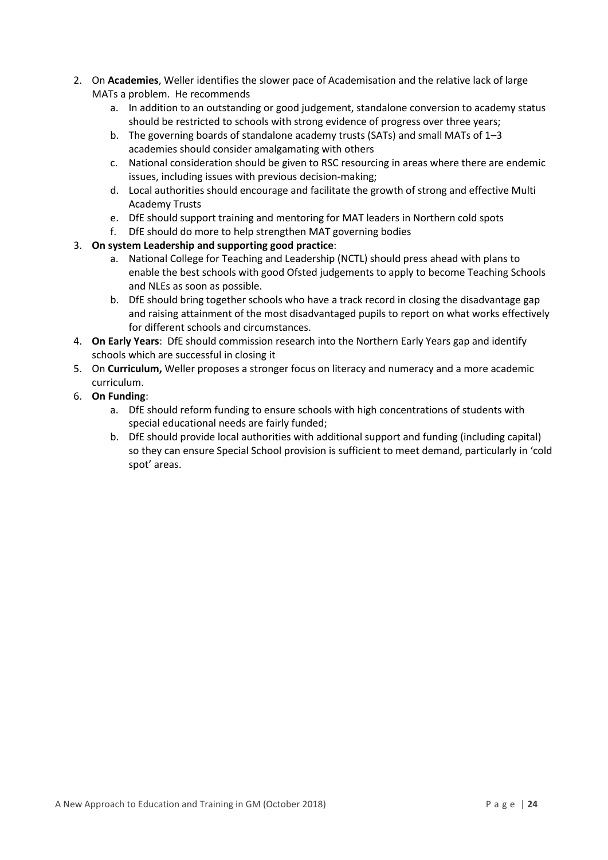- 2. On **Academies**, Weller identifies the slower pace of Academisation and the relative lack of large MATs a problem. He recommends
	- a. In addition to an outstanding or good judgement, standalone conversion to academy status should be restricted to schools with strong evidence of progress over three years;
	- b. The governing boards of standalone academy trusts (SATs) and small MATs of 1–3 academies should consider amalgamating with others
	- c. National consideration should be given to RSC resourcing in areas where there are endemic issues, including issues with previous decision-making;
	- d. Local authorities should encourage and facilitate the growth of strong and effective Multi Academy Trusts
	- e. DfE should support training and mentoring for MAT leaders in Northern cold spots
	- f. DfE should do more to help strengthen MAT governing bodies
- 3. **On system Leadership and supporting good practice**:
	- a. National College for Teaching and Leadership (NCTL) should press ahead with plans to enable the best schools with good Ofsted judgements to apply to become Teaching Schools and NLEs as soon as possible.
	- b. DfE should bring together schools who have a track record in closing the disadvantage gap and raising attainment of the most disadvantaged pupils to report on what works effectively for different schools and circumstances.
- 4. **On Early Years**: DfE should commission research into the Northern Early Years gap and identify schools which are successful in closing it
- 5. On **Curriculum,** Weller proposes a stronger focus on literacy and numeracy and a more academic curriculum.
- 6. **On Funding**:
	- a. DfE should reform funding to ensure schools with high concentrations of students with special educational needs are fairly funded;
	- b. DfE should provide local authorities with additional support and funding (including capital) so they can ensure Special School provision is sufficient to meet demand, particularly in 'cold spot' areas.